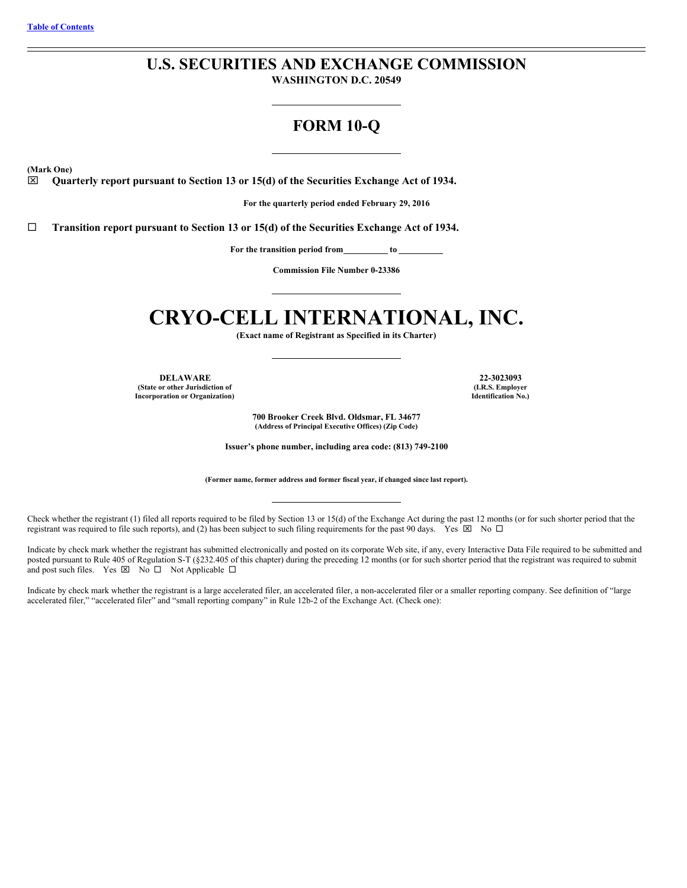# **U.S. SECURITIES AND EXCHANGE COMMISSION**

**WASHINGTON D.C. 20549**

# **FORM 10-Q**

**(Mark One)**

x **Quarterly report pursuant to Section 13 or 15(d) of the Securities Exchange Act of 1934.**

**For the quarterly period ended February 29, 2016**

¨ **Transition report pursuant to Section 13 or 15(d) of the Securities Exchange Act of 1934.**

**For the transition period from to**

**Commission File Number 0-23386**

# **CRYO-CELL INTERNATIONAL, INC.**

**(Exact name of Registrant as Specified in its Charter)**

**DELAWARE 22-3023093 (State or other Jurisdiction of Incorporation or Organization)**

**(I.R.S. Employer Identification No.)**

**700 Brooker Creek Blvd. Oldsmar, FL 34677 (Address of Principal Executive Offices) (Zip Code)**

**Issuer's phone number, including area code: (813) 749-2100**

**(Former name, former address and former fiscal year, if changed since last report).**

Check whether the registrant (1) filed all reports required to be filed by Section 13 or 15(d) of the Exchange Act during the past 12 months (or for such shorter period that the registrant was required to file such reports), and (2) has been subject to such filing requirements for the past 90 days. Yes  $\boxtimes$  No  $\Box$ 

Indicate by check mark whether the registrant has submitted electronically and posted on its corporate Web site, if any, every Interactive Data File required to be submitted and posted pursuant to Rule 405 of Regulation S-T (§232.405 of this chapter) during the preceding 12 months (or for such shorter period that the registrant was required to submit and post such files. Yes  $\boxtimes$  No  $\square$  Not Applicable  $\square$ 

Indicate by check mark whether the registrant is a large accelerated filer, an accelerated filer, a non-accelerated filer or a smaller reporting company. See definition of "large accelerated filer," "accelerated filer" and "small reporting company" in Rule 12b-2 of the Exchange Act. (Check one):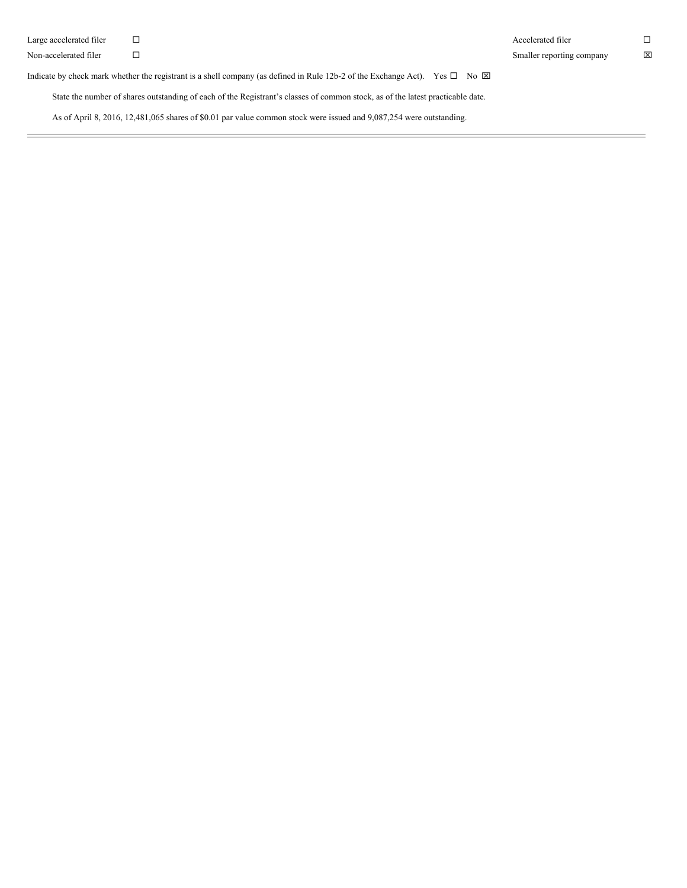Indicate by check mark whether the registrant is a shell company (as defined in Rule 12b-2 of the Exchange Act). Yes  $\Box$  No  $\boxtimes$ 

State the number of shares outstanding of each of the Registrant's classes of common stock, as of the latest practicable date.

As of April 8, 2016, 12,481,065 shares of \$0.01 par value common stock were issued and 9,087,254 were outstanding.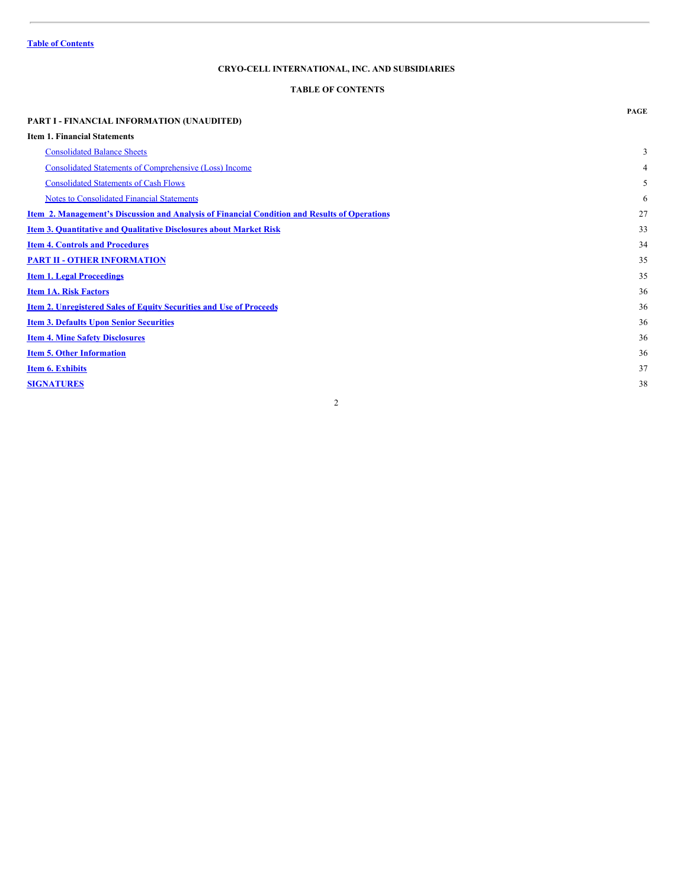# <span id="page-2-0"></span>**TABLE OF CONTENTS**

| PART I - FINANCIAL INFORMATION (UNAUDITED)                                                    | <b>PAGE</b> |
|-----------------------------------------------------------------------------------------------|-------------|
| <b>Item 1. Financial Statements</b>                                                           |             |
| <b>Consolidated Balance Sheets</b>                                                            | 3           |
| <b>Consolidated Statements of Comprehensive (Loss) Income</b>                                 | 4           |
| <b>Consolidated Statements of Cash Flows</b>                                                  | 5           |
| <b>Notes to Consolidated Financial Statements</b>                                             | 6           |
| Item 2. Management's Discussion and Analysis of Financial Condition and Results of Operations | 27          |
| <b>Item 3. Quantitative and Qualitative Disclosures about Market Risk</b>                     | 33          |
| <b>Item 4. Controls and Procedures</b>                                                        | 34          |
| <b>PART II - OTHER INFORMATION</b>                                                            | 35          |
| <b>Item 1. Legal Proceedings</b>                                                              | 35          |
| <b>Item 1A. Risk Factors</b>                                                                  | 36          |
| <b>Item 2. Unregistered Sales of Equity Securities and Use of Proceeds</b>                    | 36          |
| <b>Item 3. Defaults Upon Senior Securities</b>                                                | 36          |
| <b>Item 4. Mine Safety Disclosures</b>                                                        | 36          |
| <b>Item 5. Other Information</b>                                                              | 36          |
| <b>Item 6. Exhibits</b>                                                                       | 37          |
| <b>SIGNATURES</b>                                                                             | 38          |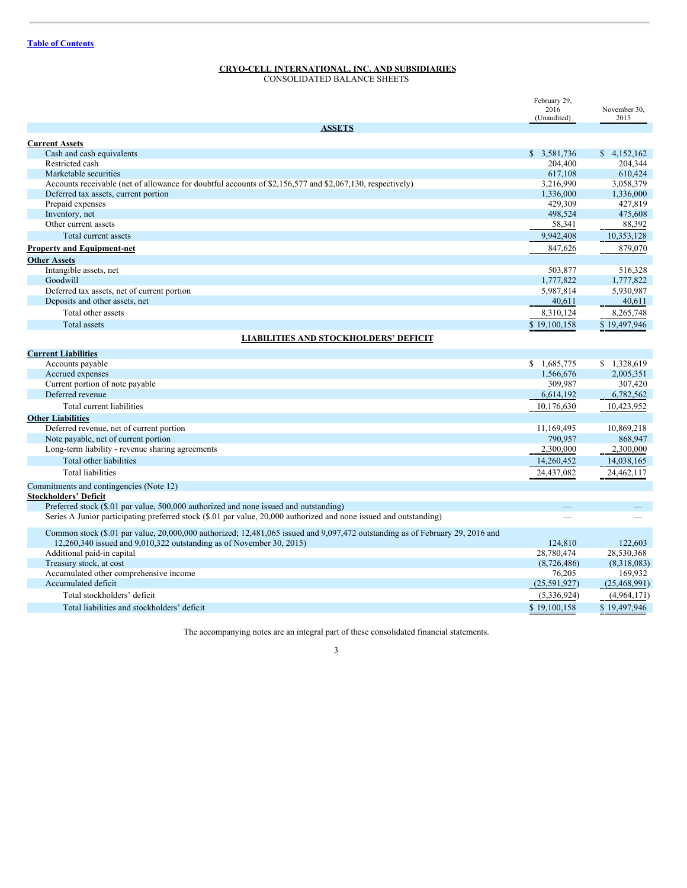<span id="page-3-0"></span>CONSOLIDATED BALANCE SHEETS

|                                                                                                                               | February 29,<br>2016<br>(Unaudited) | November 30,<br>2015  |
|-------------------------------------------------------------------------------------------------------------------------------|-------------------------------------|-----------------------|
| <b>ASSETS</b>                                                                                                                 |                                     |                       |
| <b>Current Assets</b>                                                                                                         |                                     |                       |
| Cash and cash equivalents                                                                                                     | \$ 3,581,736                        | \$4,152,162           |
| Restricted cash                                                                                                               | 204,400                             | 204,344               |
| Marketable securities                                                                                                         | 617.108                             | 610,424               |
| Accounts receivable (net of allowance for doubtful accounts of \$2,156,577 and \$2,067,130, respectively)                     | 3,216,990                           | 3,058,379             |
| Deferred tax assets, current portion                                                                                          | 1,336,000                           | 1,336,000             |
| Prepaid expenses                                                                                                              | 429,309                             | 427,819               |
| Inventory, net                                                                                                                | 498,524                             | 475,608               |
| Other current assets                                                                                                          | 58,341                              | 88,392                |
| Total current assets                                                                                                          | 9,942,408                           | 10,353,128            |
| <b>Property and Equipment-net</b>                                                                                             | 847,626                             | 879,070               |
| <b>Other Assets</b>                                                                                                           |                                     |                       |
| Intangible assets, net                                                                                                        | 503,877                             | 516.328               |
| Goodwill                                                                                                                      | 1,777,822                           | 1,777,822             |
| Deferred tax assets, net of current portion                                                                                   | 5,987,814                           | 5,930,987             |
| Deposits and other assets, net                                                                                                | 40,611                              | 40,611                |
| Total other assets                                                                                                            | 8,310,124                           | 8.265.748             |
| <b>Total</b> assets                                                                                                           | \$19,100,158                        | \$19,497,946          |
| <b>LIABILITIES AND STOCKHOLDERS' DEFICIT</b>                                                                                  |                                     |                       |
|                                                                                                                               |                                     |                       |
| <b>Current Liabilities</b>                                                                                                    |                                     |                       |
| Accounts payable                                                                                                              | \$1,685,775                         | \$1,328,619           |
| Accrued expenses<br>Current portion of note payable                                                                           | 1,566,676<br>309,987                | 2,005,351             |
| Deferred revenue                                                                                                              | 6,614,192                           | 307,420<br>6,782,562  |
| Total current liabilities                                                                                                     |                                     |                       |
|                                                                                                                               | 10,176,630                          | 10,423,952            |
| <b>Other Liabilities</b>                                                                                                      |                                     |                       |
| Deferred revenue, net of current portion<br>Note payable, net of current portion                                              | 11,169,495<br>790,957               | 10,869,218<br>868,947 |
| Long-term liability - revenue sharing agreements                                                                              | 2,300,000                           | 2,300,000             |
| Total other liabilities                                                                                                       | 14,260,452                          | 14,038,165            |
|                                                                                                                               |                                     |                       |
| <b>Total liabilities</b>                                                                                                      | 24,437,082                          | 24,462,117            |
| Commitments and contingencies (Note 12)                                                                                       |                                     |                       |
| <b>Stockholders' Deficit</b>                                                                                                  |                                     |                       |
| Preferred stock (\$.01 par value, 500,000 authorized and none issued and outstanding)                                         |                                     |                       |
| Series A Junior participating preferred stock $(\$.01$ par value, 20,000 authorized and none issued and outstanding)          |                                     |                       |
| Common stock (\$.01 par value, 20,000,000 authorized; 12,481,065 issued and 9,097,472 outstanding as of February 29, 2016 and |                                     |                       |
| 12,260,340 issued and 9,010,322 outstanding as of November 30, 2015)                                                          | 124,810                             | 122,603               |
| Additional paid-in capital                                                                                                    | 28,780,474                          | 28,530,368            |
| Treasury stock, at cost                                                                                                       | (8,726,486)                         | (8,318,083)           |
| Accumulated other comprehensive income                                                                                        | 76,205                              | 169.932               |
| Accumulated deficit                                                                                                           | (25,591,927)                        | (25, 468, 991)        |
| Total stockholders' deficit                                                                                                   | (5,336,924)                         | (4,964,171)           |
| Total liabilities and stockholders' deficit                                                                                   | \$19,100,158                        | \$19,497,946          |
|                                                                                                                               |                                     |                       |

The accompanying notes are an integral part of these consolidated financial statements.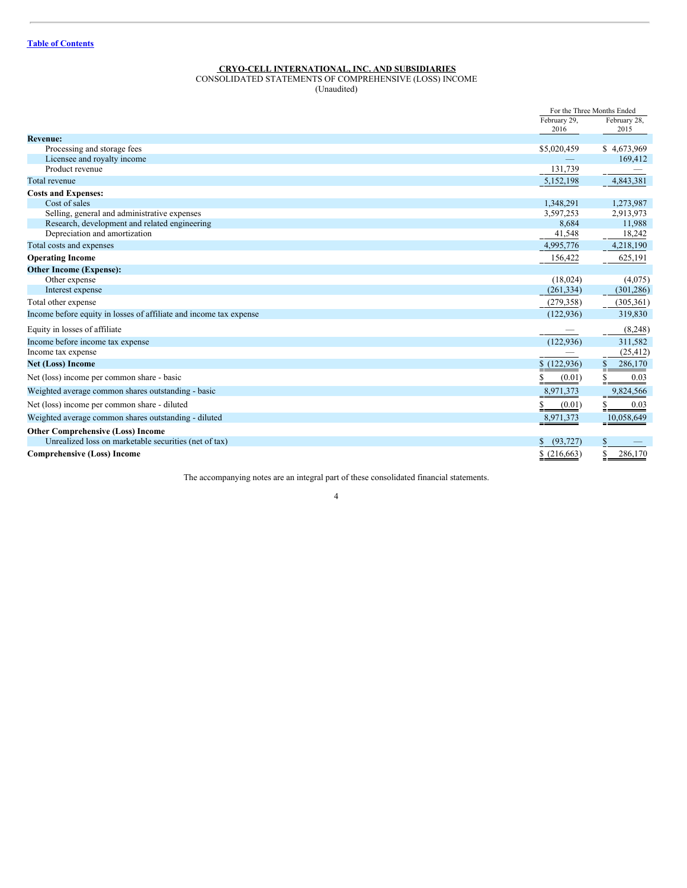<span id="page-4-0"></span>CONSOLIDATED STATEMENTS OF COMPREHENSIVE (LOSS) INCOME

(Unaudited)

|                                                                    |                 | For the Three Months Ended |
|--------------------------------------------------------------------|-----------------|----------------------------|
|                                                                    | February 29,    | February 28,               |
|                                                                    | 2016            | 2015                       |
| <b>Revenue:</b><br>Processing and storage fees                     | \$5,020,459     | \$4,673,969                |
| Licensee and royalty income                                        |                 | 169,412                    |
| Product revenue                                                    | 131,739         |                            |
| Total revenue                                                      | 5,152,198       | 4,843,381                  |
| <b>Costs and Expenses:</b>                                         |                 |                            |
| Cost of sales                                                      | 1,348,291       | 1,273,987                  |
| Selling, general and administrative expenses                       | 3,597,253       | 2,913,973                  |
| Research, development and related engineering                      | 8,684           | 11,988                     |
| Depreciation and amortization                                      | 41,548          | 18,242                     |
| Total costs and expenses                                           | 4,995,776       | 4,218,190                  |
| <b>Operating Income</b>                                            | 156,422         | 625,191                    |
| <b>Other Income (Expense):</b>                                     |                 |                            |
| Other expense                                                      | (18,024)        | (4,075)                    |
| Interest expense                                                   | (261, 334)      | (301, 286)                 |
| Total other expense                                                | (279, 358)      | (305, 361)                 |
| Income before equity in losses of affiliate and income tax expense | (122, 936)      | 319,830                    |
| Equity in losses of affiliate                                      |                 | (8,248)                    |
| Income before income tax expense                                   | (122, 936)      | 311,582                    |
| Income tax expense                                                 |                 | (25, 412)                  |
| <b>Net (Loss) Income</b>                                           | (122, 936)      | \$<br>286,170              |
| Net (loss) income per common share - basic                         | (0.01)          | 0.03                       |
| Weighted average common shares outstanding - basic                 | 8,971,373       | 9,824,566                  |
| Net (loss) income per common share - diluted                       | (0.01)          | 0.03                       |
| Weighted average common shares outstanding - diluted               | 8,971,373       | 10,058,649                 |
| <b>Other Comprehensive (Loss) Income</b>                           |                 |                            |
| Unrealized loss on marketable securities (net of tax)              | (93, 727)<br>\$ | S                          |
| <b>Comprehensive (Loss) Income</b>                                 | $$$ (216,663)   | 286,170                    |

The accompanying notes are an integral part of these consolidated financial statements.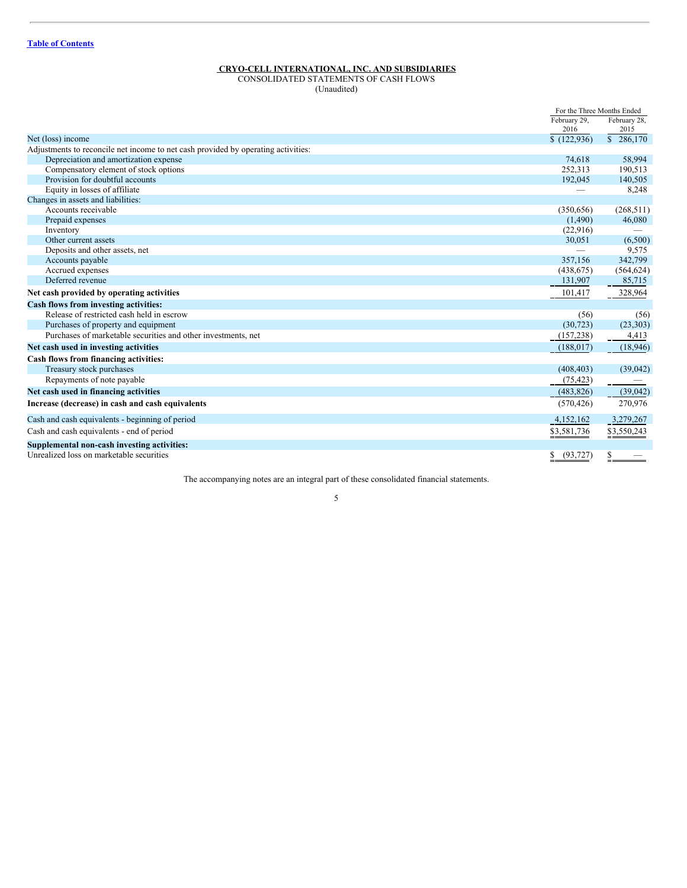<span id="page-5-0"></span>CONSOLIDATED STATEMENTS OF CASH FLOWS

(Unaudited)

|                                                                                   |                             | For the Three Months Ended |
|-----------------------------------------------------------------------------------|-----------------------------|----------------------------|
|                                                                                   | February 29,                | February 28,               |
|                                                                                   | 2016                        | 2015                       |
| Net (loss) income                                                                 | \$(122,936)                 | $\overline{\$}$ 286,170    |
| Adjustments to reconcile net income to net cash provided by operating activities: |                             |                            |
| Depreciation and amortization expense                                             | 74,618                      | 58,994                     |
| Compensatory element of stock options                                             | 252,313                     | 190,513                    |
| Provision for doubtful accounts                                                   | 192,045                     | 140,505                    |
| Equity in losses of affiliate                                                     |                             | 8,248                      |
| Changes in assets and liabilities:                                                |                             |                            |
| Accounts receivable                                                               | (350, 656)                  | (268, 511)                 |
| Prepaid expenses                                                                  | (1,490)                     | 46,080                     |
| Inventory                                                                         | (22,916)                    |                            |
| Other current assets                                                              | 30,051                      | (6,500)                    |
| Deposits and other assets, net                                                    |                             | 9,575                      |
| Accounts payable                                                                  | 357,156                     | 342,799                    |
| Accrued expenses                                                                  | (438, 675)                  | (564, 624)                 |
| Deferred revenue                                                                  | 131,907                     | 85,715                     |
| Net cash provided by operating activities                                         | 101,417                     | 328,964                    |
| Cash flows from investing activities:                                             |                             |                            |
| Release of restricted cash held in escrow                                         | (56)                        | (56)                       |
| Purchases of property and equipment                                               | (30, 723)                   | (23, 303)                  |
| Purchases of marketable securities and other investments, net                     | (157, 238)                  | 4,413                      |
| Net cash used in investing activities                                             | (188, 017)                  | (18,946)                   |
| Cash flows from financing activities:                                             |                             |                            |
| Treasury stock purchases                                                          | (408, 403)                  | (39,042)                   |
| Repayments of note payable                                                        | (75, 423)                   |                            |
| Net cash used in financing activities                                             | (483, 826)                  | (39,042)                   |
| Increase (decrease) in cash and cash equivalents                                  | (570, 426)                  | 270,976                    |
| Cash and cash equivalents - beginning of period                                   | 4,152,162                   | 3,279,267                  |
| Cash and cash equivalents - end of period                                         | \$3,581,736                 | \$3,550,243                |
| Supplemental non-cash investing activities:                                       |                             |                            |
| Unrealized loss on marketable securities                                          | (93, 727)<br>$\overline{2}$ |                            |

The accompanying notes are an integral part of these consolidated financial statements.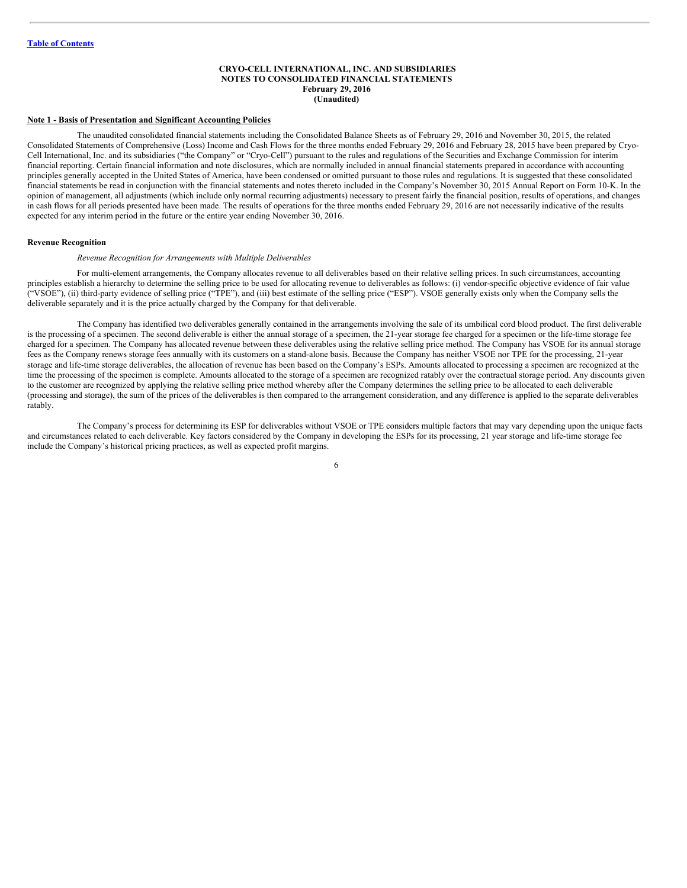#### <span id="page-6-0"></span>**CRYO-CELL INTERNATIONAL, INC. AND SUBSIDIARIES NOTES TO CONSOLIDATED FINANCIAL STATEMENTS February 29, 2016 (Unaudited)**

#### **Note 1 - Basis of Presentation and Significant Accounting Policies**

The unaudited consolidated financial statements including the Consolidated Balance Sheets as of February 29, 2016 and November 30, 2015, the related Consolidated Statements of Comprehensive (Loss) Income and Cash Flows for the three months ended February 29, 2016 and February 28, 2015 have been prepared by Cryo-Cell International, Inc. and its subsidiaries ("the Company" or "Cryo-Cell") pursuant to the rules and regulations of the Securities and Exchange Commission for interim financial reporting. Certain financial information and note disclosures, which are normally included in annual financial statements prepared in accordance with accounting principles generally accepted in the United States of America, have been condensed or omitted pursuant to those rules and regulations. It is suggested that these consolidated financial statements be read in conjunction with the financial statements and notes thereto included in the Company's November 30, 2015 Annual Report on Form 10-K. In the opinion of management, all adjustments (which include only normal recurring adjustments) necessary to present fairly the financial position, results of operations, and changes in cash flows for all periods presented have been made. The results of operations for the three months ended February 29, 2016 are not necessarily indicative of the results expected for any interim period in the future or the entire year ending November 30, 2016.

#### **Revenue Recognition**

#### *Revenue Recognition for Arrangements with Multiple Deliverables*

For multi-element arrangements, the Company allocates revenue to all deliverables based on their relative selling prices. In such circumstances, accounting principles establish a hierarchy to determine the selling price to be used for allocating revenue to deliverables as follows: (i) vendor-specific objective evidence of fair value ("VSOE"), (ii) third-party evidence of selling price ("TPE"), and (iii) best estimate of the selling price ("ESP"). VSOE generally exists only when the Company sells the deliverable separately and it is the price actually charged by the Company for that deliverable.

The Company has identified two deliverables generally contained in the arrangements involving the sale of its umbilical cord blood product. The first deliverable is the processing of a specimen. The second deliverable is either the annual storage of a specimen, the 21-year storage fee charged for a specimen or the life-time storage fee charged for a specimen. The Company has allocated revenue between these deliverables using the relative selling price method. The Company has VSOE for its annual storage fees as the Company renews storage fees annually with its customers on a stand-alone basis. Because the Company has neither VSOE nor TPE for the processing, 21-year storage and life-time storage deliverables, the allocation of revenue has been based on the Company's ESPs. Amounts allocated to processing a specimen are recognized at the time the processing of the specimen is complete. Amounts allocated to the storage of a specimen are recognized ratably over the contractual storage period. Any discounts given to the customer are recognized by applying the relative selling price method whereby after the Company determines the selling price to be allocated to each deliverable (processing and storage), the sum of the prices of the deliverables is then compared to the arrangement consideration, and any difference is applied to the separate deliverables ratably.

The Company's process for determining its ESP for deliverables without VSOE or TPE considers multiple factors that may vary depending upon the unique facts and circumstances related to each deliverable. Key factors considered by the Company in developing the ESPs for its processing, 21 year storage and life-time storage fee include the Company's historical pricing practices, as well as expected profit margins.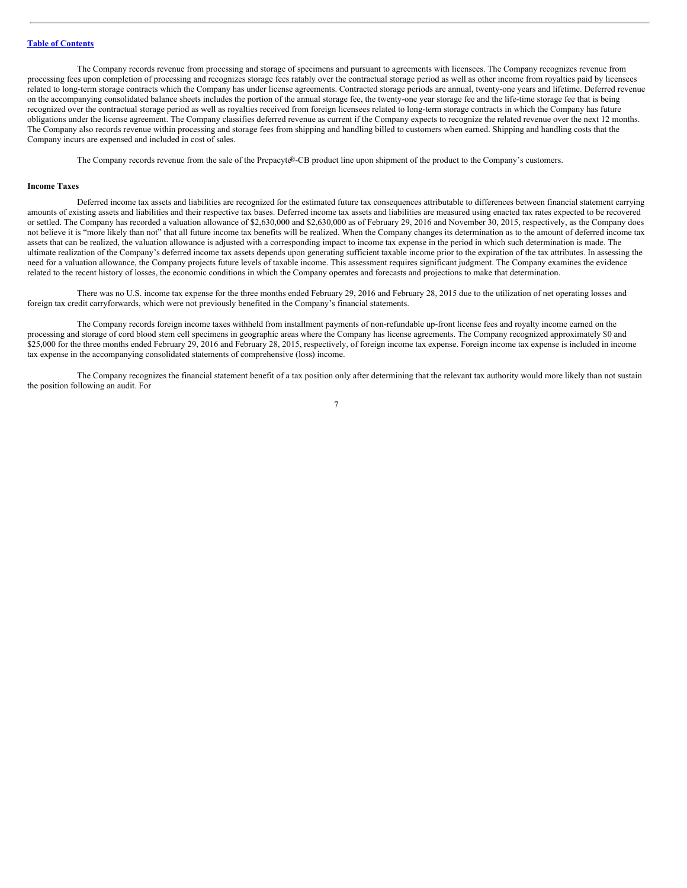The Company records revenue from processing and storage of specimens and pursuant to agreements with licensees. The Company recognizes revenue from processing fees upon completion of processing and recognizes storage fees ratably over the contractual storage period as well as other income from royalties paid by licensees related to long-term storage contracts which the Company has under license agreements. Contracted storage periods are annual, twenty-one years and lifetime. Deferred revenue on the accompanying consolidated balance sheets includes the portion of the annual storage fee, the twenty-one year storage fee and the life-time storage fee that is being recognized over the contractual storage period as well as royalties received from foreign licensees related to long-term storage contracts in which the Company has future obligations under the license agreement. The Company classifies deferred revenue as current if the Company expects to recognize the related revenue over the next 12 months. The Company also records revenue within processing and storage fees from shipping and handling billed to customers when earned. Shipping and handling costs that the Company incurs are expensed and included in cost of sales.

The Company records revenue from the sale of the Prepacyte®-CB product line upon shipment of the product to the Company's customers.

#### **Income Taxes**

Deferred income tax assets and liabilities are recognized for the estimated future tax consequences attributable to differences between financial statement carrying amounts of existing assets and liabilities and their respective tax bases. Deferred income tax assets and liabilities are measured using enacted tax rates expected to be recovered or settled. The Company has recorded a valuation allowance of \$2,630,000 and \$2,630,000 as of February 29, 2016 and November 30, 2015, respectively, as the Company does not believe it is "more likely than not" that all future income tax benefits will be realized. When the Company changes its determination as to the amount of deferred income tax assets that can be realized, the valuation allowance is adjusted with a corresponding impact to income tax expense in the period in which such determination is made. The ultimate realization of the Company's deferred income tax assets depends upon generating sufficient taxable income prior to the expiration of the tax attributes. In assessing the need for a valuation allowance, the Company projects future levels of taxable income. This assessment requires significant judgment. The Company examines the evidence related to the recent history of losses, the economic conditions in which the Company operates and forecasts and projections to make that determination.

There was no U.S. income tax expense for the three months ended February 29, 2016 and February 28, 2015 due to the utilization of net operating losses and foreign tax credit carryforwards, which were not previously benefited in the Company's financial statements.

The Company records foreign income taxes withheld from installment payments of non-refundable up-front license fees and royalty income earned on the processing and storage of cord blood stem cell specimens in geographic areas where the Company has license agreements. The Company recognized approximately \$0 and \$25,000 for the three months ended February 29, 2016 and February 28, 2015, respectively, of foreign income tax expense. Foreign income tax expense is included in income tax expense in the accompanying consolidated statements of comprehensive (loss) income.

The Company recognizes the financial statement benefit of a tax position only after determining that the relevant tax authority would more likely than not sustain the position following an audit. For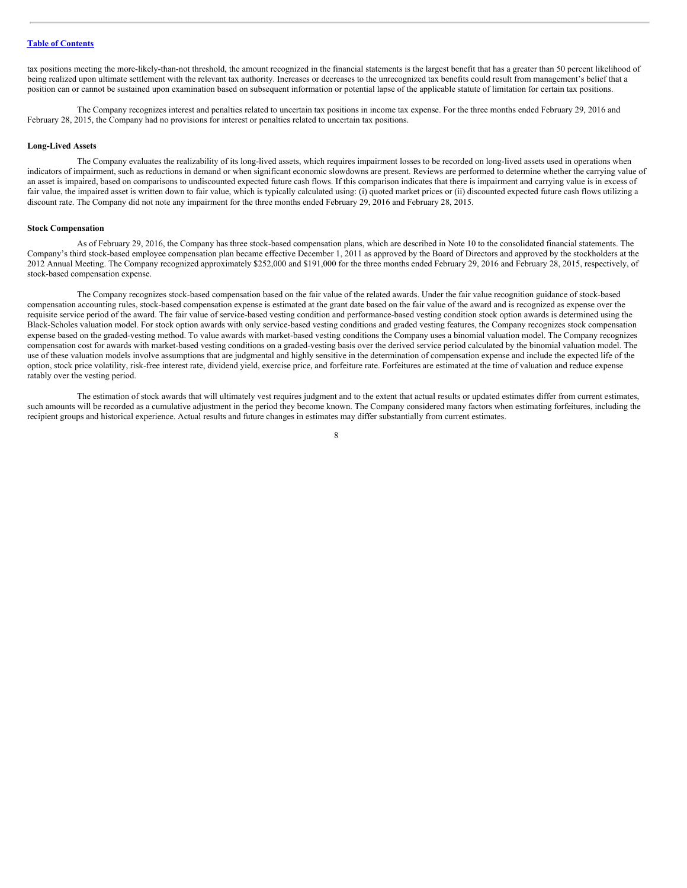tax positions meeting the more-likely-than-not threshold, the amount recognized in the financial statements is the largest benefit that has a greater than 50 percent likelihood of being realized upon ultimate settlement with the relevant tax authority. Increases or decreases to the unrecognized tax benefits could result from management's belief that a position can or cannot be sustained upon examination based on subsequent information or potential lapse of the applicable statute of limitation for certain tax positions.

The Company recognizes interest and penalties related to uncertain tax positions in income tax expense. For the three months ended February 29, 2016 and February 28, 2015, the Company had no provisions for interest or penalties related to uncertain tax positions.

#### **Long-Lived Assets**

The Company evaluates the realizability of its long-lived assets, which requires impairment losses to be recorded on long-lived assets used in operations when indicators of impairment, such as reductions in demand or when significant economic slowdowns are present. Reviews are performed to determine whether the carrying value of an asset is impaired, based on comparisons to undiscounted expected future cash flows. If this comparison indicates that there is impairment and carrying value is in excess of fair value, the impaired asset is written down to fair value, which is typically calculated using: (i) quoted market prices or (ii) discounted expected future cash flows utilizing a discount rate. The Company did not note any impairment for the three months ended February 29, 2016 and February 28, 2015.

#### **Stock Compensation**

As of February 29, 2016, the Company has three stock-based compensation plans, which are described in Note 10 to the consolidated financial statements. The Company's third stock-based employee compensation plan became effective December 1, 2011 as approved by the Board of Directors and approved by the stockholders at the 2012 Annual Meeting. The Company recognized approximately \$252,000 and \$191,000 for the three months ended February 29, 2016 and February 28, 2015, respectively, of stock-based compensation expense.

The Company recognizes stock-based compensation based on the fair value of the related awards. Under the fair value recognition guidance of stock-based compensation accounting rules, stock-based compensation expense is estimated at the grant date based on the fair value of the award and is recognized as expense over the requisite service period of the award. The fair value of service-based vesting condition and performance-based vesting condition stock option awards is determined using the Black-Scholes valuation model. For stock option awards with only service-based vesting conditions and graded vesting features, the Company recognizes stock compensation expense based on the graded-vesting method. To value awards with market-based vesting conditions the Company uses a binomial valuation model. The Company recognizes compensation cost for awards with market-based vesting conditions on a graded-vesting basis over the derived service period calculated by the binomial valuation model. The use of these valuation models involve assumptions that are judgmental and highly sensitive in the determination of compensation expense and include the expected life of the option, stock price volatility, risk-free interest rate, dividend yield, exercise price, and forfeiture rate. Forfeitures are estimated at the time of valuation and reduce expense ratably over the vesting period.

The estimation of stock awards that will ultimately vest requires judgment and to the extent that actual results or updated estimates differ from current estimates, such amounts will be recorded as a cumulative adjustment in the period they become known. The Company considered many factors when estimating forfeitures, including the recipient groups and historical experience. Actual results and future changes in estimates may differ substantially from current estimates.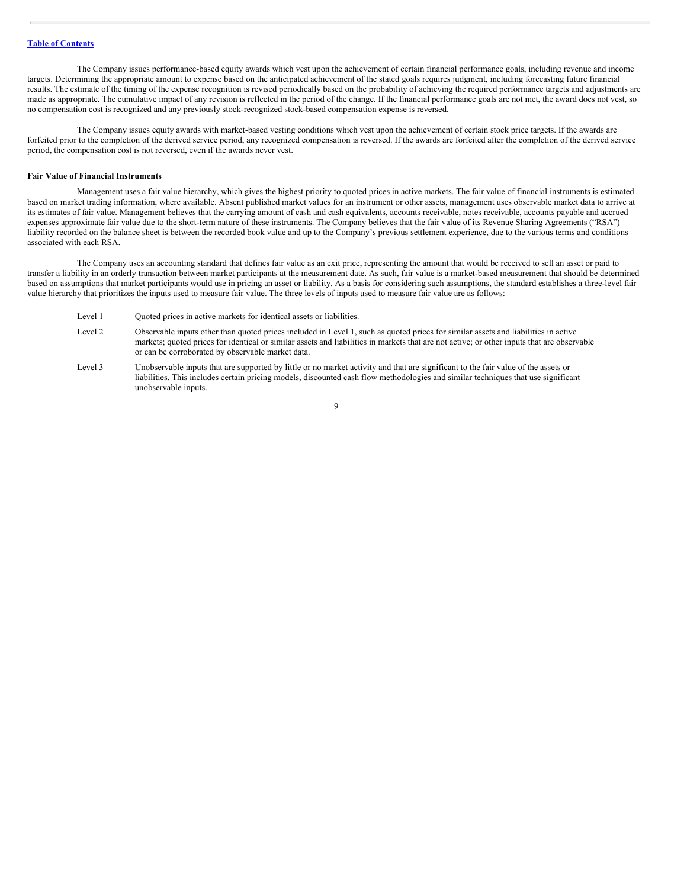The Company issues performance-based equity awards which vest upon the achievement of certain financial performance goals, including revenue and income targets. Determining the appropriate amount to expense based on the anticipated achievement of the stated goals requires judgment, including forecasting future financial results. The estimate of the timing of the expense recognition is revised periodically based on the probability of achieving the required performance targets and adjustments are made as appropriate. The cumulative impact of any revision is reflected in the period of the change. If the financial performance goals are not met, the award does not vest, so no compensation cost is recognized and any previously stock-recognized stock-based compensation expense is reversed.

The Company issues equity awards with market-based vesting conditions which vest upon the achievement of certain stock price targets. If the awards are forfeited prior to the completion of the derived service period, any recognized compensation is reversed. If the awards are forfeited after the completion of the derived service period, the compensation cost is not reversed, even if the awards never vest.

#### **Fair Value of Financial Instruments**

Management uses a fair value hierarchy, which gives the highest priority to quoted prices in active markets. The fair value of financial instruments is estimated based on market trading information, where available. Absent published market values for an instrument or other assets, management uses observable market data to arrive at its estimates of fair value. Management believes that the carrying amount of cash and cash equivalents, accounts receivable, notes receivable, accounts payable and accrued expenses approximate fair value due to the short-term nature of these instruments. The Company believes that the fair value of its Revenue Sharing Agreements ("RSA") liability recorded on the balance sheet is between the recorded book value and up to the Company's previous settlement experience, due to the various terms and conditions associated with each RSA.

The Company uses an accounting standard that defines fair value as an exit price, representing the amount that would be received to sell an asset or paid to transfer a liability in an orderly transaction between market participants at the measurement date. As such, fair value is a market-based measurement that should be determined based on assumptions that market participants would use in pricing an asset or liability. As a basis for considering such assumptions, the standard establishes a three-level fair value hierarchy that prioritizes the inputs used to measure fair value. The three levels of inputs used to measure fair value are as follows:

- Level 1 Quoted prices in active markets for identical assets or liabilities.
- Level 2 Observable inputs other than quoted prices included in Level 1, such as quoted prices for similar assets and liabilities in active markets; quoted prices for identical or similar assets and liabilities in markets that are not active; or other inputs that are observable or can be corroborated by observable market data.
- Level 3 Unobservable inputs that are supported by little or no market activity and that are significant to the fair value of the assets or liabilities. This includes certain pricing models, discounted cash flow methodologies and similar techniques that use significant unobservable inputs.

 $\overline{9}$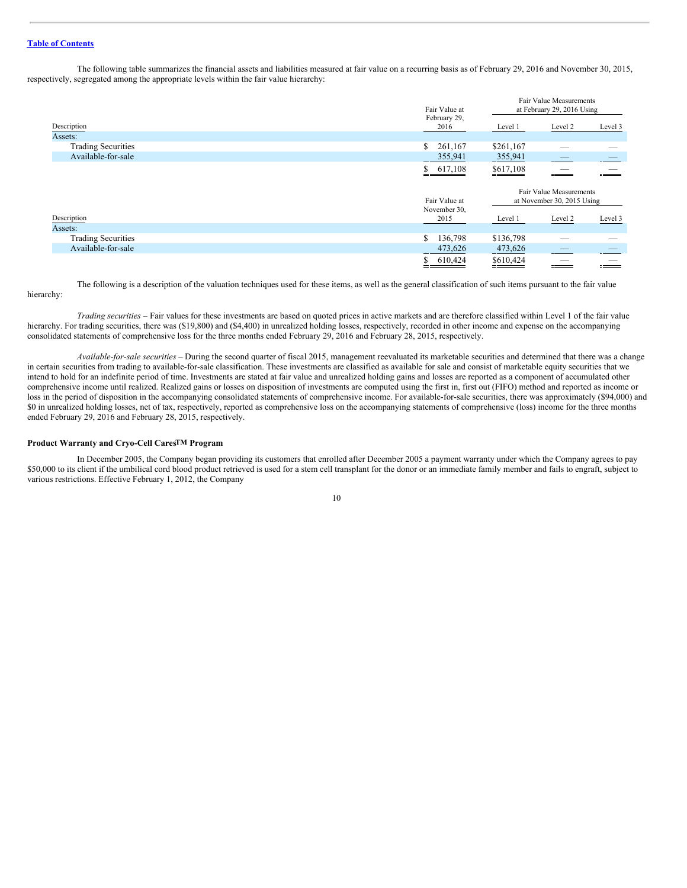The following table summarizes the financial assets and liabilities measured at fair value on a recurring basis as of February 29, 2016 and November 30, 2015, respectively, segregated among the appropriate levels within the fair value hierarchy:

| Fair Value at             | Fair Value Measurements<br>at February 29, 2016 Using |           |                                                       |         |
|---------------------------|-------------------------------------------------------|-----------|-------------------------------------------------------|---------|
| Description               | February 29,<br>2016                                  | Level 1   | Level 2                                               | Level 3 |
| Assets:                   |                                                       |           |                                                       |         |
| <b>Trading Securities</b> | 261,167<br>\$                                         | \$261,167 |                                                       |         |
| Available-for-sale        | 355,941                                               | 355,941   |                                                       |         |
|                           | \$617,108                                             | \$617,108 |                                                       |         |
|                           | Fair Value at                                         |           | Fair Value Measurements<br>at November 30, 2015 Using |         |
| Description               | November 30,<br>2015                                  | Level 1   | Level 2                                               | Level 3 |
| Assets:                   |                                                       |           |                                                       |         |
|                           |                                                       |           |                                                       |         |
| <b>Trading Securities</b> | 136,798<br>S.                                         | \$136,798 |                                                       |         |
| Available-for-sale        | 473,626                                               | 473,626   |                                                       |         |

The following is a description of the valuation techniques used for these items, as well as the general classification of such items pursuant to the fair value hierarchy:

*Trading securities –* Fair values for these investments are based on quoted prices in active markets and are therefore classified within Level 1 of the fair value hierarchy. For trading securities, there was (\$19,800) and (\$4,400) in unrealized holding losses, respectively, recorded in other income and expense on the accompanying consolidated statements of comprehensive loss for the three months ended February 29, 2016 and February 28, 2015, respectively.

*Available-for-sale securities –* During the second quarter of fiscal 2015, management reevaluated its marketable securities and determined that there was a change in certain securities from trading to available-for-sale classification. These investments are classified as available for sale and consist of marketable equity securities that we intend to hold for an indefinite period of time. Investments are stated at fair value and unrealized holding gains and losses are reported as a component of accumulated other comprehensive income until realized. Realized gains or losses on disposition of investments are computed using the first in, first out (FIFO) method and reported as income or loss in the period of disposition in the accompanying consolidated statements of comprehensive income. For available-for-sale securities, there was approximately (\$94,000) and \$0 in unrealized holding losses, net of tax, respectively, reported as comprehensive loss on the accompanying statements of comprehensive (loss) income for the three months ended February 29, 2016 and February 28, 2015, respectively.

#### **Product Warranty and Cryo-Cell CaresTM Program**

In December 2005, the Company began providing its customers that enrolled after December 2005 a payment warranty under which the Company agrees to pay \$50,000 to its client if the umbilical cord blood product retrieved is used for a stem cell transplant for the donor or an immediate family member and fails to engraft, subject to various restrictions. Effective February 1, 2012, the Company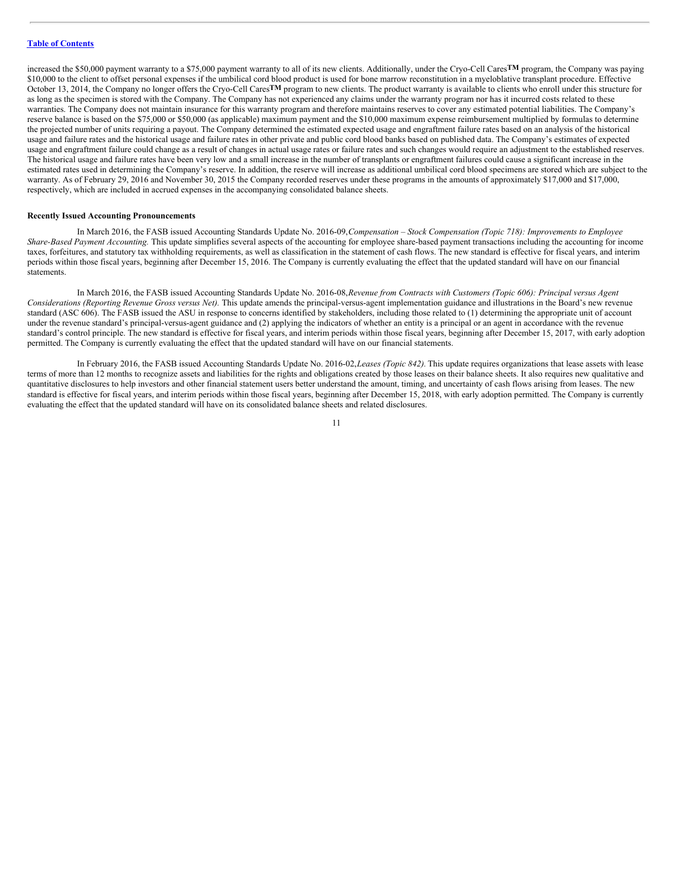increased the \$50,000 payment warranty to a \$75,000 payment warranty to all of its new clients. Additionally, under the Cryo-Cell Cares**TM** program, the Company was paying \$10,000 to the client to offset personal expenses if the umbilical cord blood product is used for bone marrow reconstitution in a myeloblative transplant procedure. Effective October 13, 2014, the Company no longer offers the Cryo-Cell Cares**TM** program to new clients. The product warranty is available to clients who enroll under this structure for as long as the specimen is stored with the Company. The Company has not experienced any claims under the warranty program nor has it incurred costs related to these warranties. The Company does not maintain insurance for this warranty program and therefore maintains reserves to cover any estimated potential liabilities. The Company's reserve balance is based on the \$75,000 or \$50,000 (as applicable) maximum payment and the \$10,000 maximum expense reimbursement multiplied by formulas to determine the projected number of units requiring a payout. The Company determined the estimated expected usage and engraftment failure rates based on an analysis of the historical usage and failure rates and the historical usage and failure rates in other private and public cord blood banks based on published data. The Company's estimates of expected usage and engraftment failure could change as a result of changes in actual usage rates or failure rates and such changes would require an adjustment to the established reserves. The historical usage and failure rates have been very low and a small increase in the number of transplants or engraftment failures could cause a significant increase in the estimated rates used in determining the Company's reserve. In addition, the reserve will increase as additional umbilical cord blood specimens are stored which are subject to the warranty. As of February 29, 2016 and November 30, 2015 the Company recorded reserves under these programs in the amounts of approximately \$17,000 and \$17,000, respectively, which are included in accrued expenses in the accompanying consolidated balance sheets.

#### **Recently Issued Accounting Pronouncements**

In March 2016, the FASB issued Accounting Standards Update No. 2016-09,*Compensation – Stock Compensation (Topic 718): Improvements to Employee Share-Based Payment Accounting.* This update simplifies several aspects of the accounting for employee share-based payment transactions including the accounting for income taxes, forfeitures, and statutory tax withholding requirements, as well as classification in the statement of cash flows. The new standard is effective for fiscal years, and interim periods within those fiscal years, beginning after December 15, 2016. The Company is currently evaluating the effect that the updated standard will have on our financial statements.

In March 2016, the FASB issued Accounting Standards Update No. 2016-08,*Revenue from Contracts with Customers (Topic 606): Principal versus Agent Considerations (Reporting Revenue Gross versus Net).* This update amends the principal-versus-agent implementation guidance and illustrations in the Board's new revenue standard (ASC 606). The FASB issued the ASU in response to concerns identified by stakeholders, including those related to (1) determining the appropriate unit of account under the revenue standard's principal-versus-agent guidance and (2) applying the indicators of whether an entity is a principal or an agent in accordance with the revenue standard's control principle. The new standard is effective for fiscal years, and interim periods within those fiscal years, beginning after December 15, 2017, with early adoption permitted. The Company is currently evaluating the effect that the updated standard will have on our financial statements.

In February 2016, the FASB issued Accounting Standards Update No. 2016-02,*Leases (Topic 842).* This update requires organizations that lease assets with lease terms of more than 12 months to recognize assets and liabilities for the rights and obligations created by those leases on their balance sheets. It also requires new qualitative and quantitative disclosures to help investors and other financial statement users better understand the amount, timing, and uncertainty of cash flows arising from leases. The new standard is effective for fiscal years, and interim periods within those fiscal years, beginning after December 15, 2018, with early adoption permitted. The Company is currently evaluating the effect that the updated standard will have on its consolidated balance sheets and related disclosures.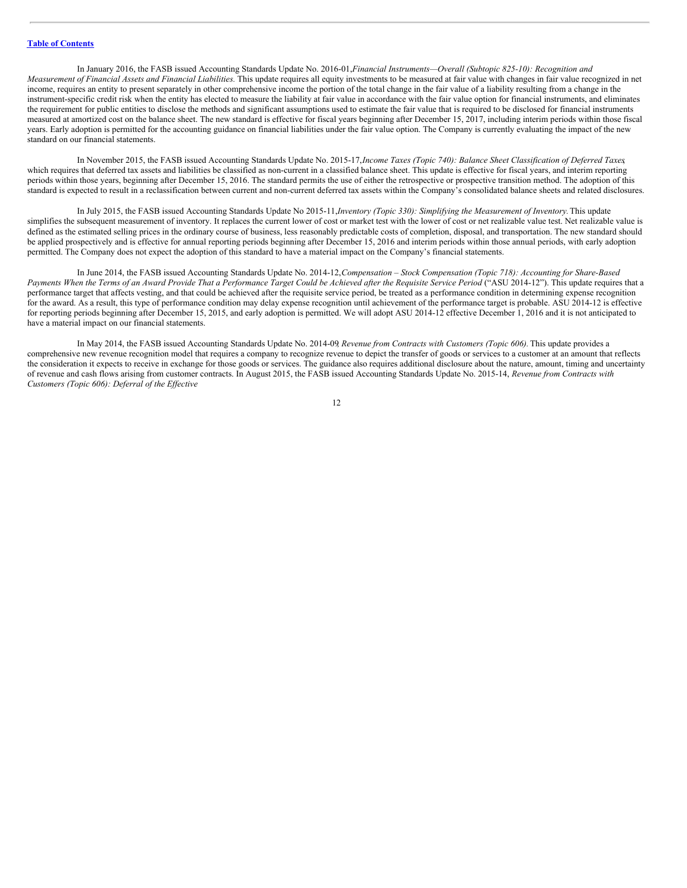In January 2016, the FASB issued Accounting Standards Update No. 2016-01,*Financial Instruments—Overall (Subtopic 825-10): Recognition and* Measurement of Financial Assets and Financial Liabilities. This update requires all equity investments to be measured at fair value with changes in fair value recognized in net income, requires an entity to present separately in other comprehensive income the portion of the total change in the fair value of a liability resulting from a change in the instrument-specific credit risk when the entity has elected to measure the liability at fair value in accordance with the fair value option for financial instruments, and eliminates the requirement for public entities to disclose the methods and significant assumptions used to estimate the fair value that is required to be disclosed for financial instruments measured at amortized cost on the balance sheet. The new standard is effective for fiscal years beginning after December 15, 2017, including interim periods within those fiscal years. Early adoption is permitted for the accounting guidance on financial liabilities under the fair value option. The Company is currently evaluating the impact of the new standard on our financial statements.

In November 2015, the FASB issued Accounting Standards Update No. 2015-17,*Income Taxes (Topic 740): Balance Sheet Classification of Deferred Taxes*, which requires that deferred tax assets and liabilities be classified as non-current in a classified balance sheet. This update is effective for fiscal years, and interim reporting periods within those years, beginning after December 15, 2016. The standard permits the use of either the retrospective or prospective transition method. The adoption of this standard is expected to result in a reclassification between current and non-current deferred tax assets within the Company's consolidated balance sheets and related disclosures.

In July 2015, the FASB issued Accounting Standards Update No 2015-11,*Inventory (Topic 330): Simplifying the Measurement of Inventory.*This update simplifies the subsequent measurement of inventory. It replaces the current lower of cost or market test with the lower of cost or net realizable value test. Net realizable value is defined as the estimated selling prices in the ordinary course of business, less reasonably predictable costs of completion, disposal, and transportation. The new standard should be applied prospectively and is effective for annual reporting periods beginning after December 15, 2016 and interim periods within those annual periods, with early adoption permitted. The Company does not expect the adoption of this standard to have a material impact on the Company's financial statements.

In June 2014, the FASB issued Accounting Standards Update No. 2014-12,*Compensation – Stock Compensation (Topic 718): Accounting for Share-Based* Payments When the Terms of an Award Provide That a Performance Target Could be Achieved after the Requisite Service Period ("ASU 2014-12"). This update requires that a performance target that affects vesting, and that could be achieved after the requisite service period, be treated as a performance condition in determining expense recognition for the award. As a result, this type of performance condition may delay expense recognition until achievement of the performance target is probable. ASU 2014-12 is effective for reporting periods beginning after December 15, 2015, and early adoption is permitted. We will adopt ASU 2014-12 effective December 1, 2016 and it is not anticipated to have a material impact on our financial statements.

In May 2014, the FASB issued Accounting Standards Update No. 2014-09*, Revenue from Contracts with Customers (Topic 606).* This update provides a comprehensive new revenue recognition model that requires a company to recognize revenue to depict the transfer of goods or services to a customer at an amount that reflects the consideration it expects to receive in exchange for those goods or services. The guidance also requires additional disclosure about the nature, amount, timing and uncertainty of revenue and cash flows arising from customer contracts. In August 2015, the FASB issued Accounting Standards Update No. 2015-14, *Revenue from Contracts with Customers (Topic 606): Deferral of the Ef ective*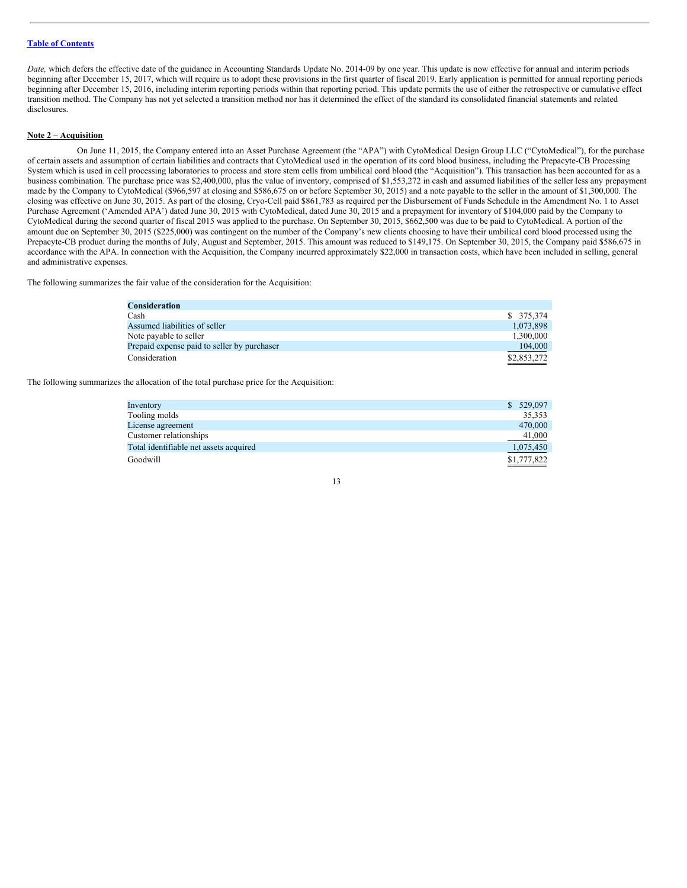*Date,* which defers the effective date of the guidance in Accounting Standards Update No. 2014-09 by one year. This update is now effective for annual and interim periods beginning after December 15, 2017, which will require us to adopt these provisions in the first quarter of fiscal 2019. Early application is permitted for annual reporting periods beginning after December 15, 2016, including interim reporting periods within that reporting period. This update permits the use of either the retrospective or cumulative effect transition method. The Company has not yet selected a transition method nor has it determined the effect of the standard its consolidated financial statements and related disclosures.

#### **Note 2 – Acquisition**

On June 11, 2015, the Company entered into an Asset Purchase Agreement (the "APA") with CytoMedical Design Group LLC ("CytoMedical"), for the purchase of certain assets and assumption of certain liabilities and contracts that CytoMedical used in the operation of its cord blood business, including the Prepacyte-CB Processing System which is used in cell processing laboratories to process and store stem cells from umbilical cord blood (the "Acquisition"). This transaction has been accounted for as a business combination. The purchase price was \$2,400,000, plus the value of inventory, comprised of \$1,553,272 in cash and assumed liabilities of the seller less any prepayment made by the Company to CytoMedical (\$966,597 at closing and \$586,675 on or before September 30, 2015) and a note payable to the seller in the amount of \$1,300,000. The closing was effective on June 30, 2015. As part of the closing, Cryo-Cell paid \$861,783 as required per the Disbursement of Funds Schedule in the Amendment No. 1 to Asset Purchase Agreement ('Amended APA') dated June 30, 2015 with CytoMedical, dated June 30, 2015 and a prepayment for inventory of \$104,000 paid by the Company to CytoMedical during the second quarter of fiscal 2015 was applied to the purchase. On September 30, 2015, \$662,500 was due to be paid to CytoMedical. A portion of the amount due on September 30, 2015 (\$225,000) was contingent on the number of the Company's new clients choosing to have their umbilical cord blood processed using the Prepacyte-CB product during the months of July, August and September, 2015. This amount was reduced to \$149,175. On September 30, 2015, the Company paid \$586,675 in accordance with the APA. In connection with the Acquisition, the Company incurred approximately \$22,000 in transaction costs, which have been included in selling, general and administrative expenses.

The following summarizes the fair value of the consideration for the Acquisition:

| Consideration                               |             |
|---------------------------------------------|-------------|
| Cash                                        | \$ 375,374  |
| Assumed liabilities of seller               | 1,073,898   |
| Note payable to seller                      | 1,300,000   |
| Prepaid expense paid to seller by purchaser | 104,000     |
| Consideration                               | \$2,853,272 |

The following summarizes the allocation of the total purchase price for the Acquisition:

| Inventory                              | \$ 529,097  |
|----------------------------------------|-------------|
| Tooling molds                          | 35,353      |
| License agreement                      | 470,000     |
| Customer relationships                 | 41,000      |
| Total identifiable net assets acquired | 1,075,450   |
| Goodwill                               | \$1,777,822 |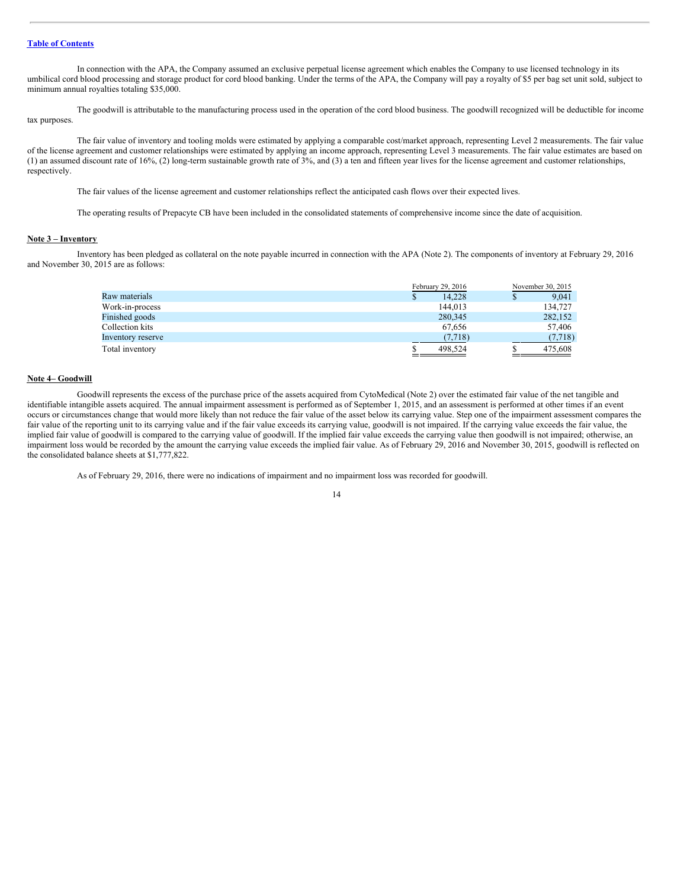In connection with the APA, the Company assumed an exclusive perpetual license agreement which enables the Company to use licensed technology in its umbilical cord blood processing and storage product for cord blood banking. Under the terms of the APA, the Company will pay a royalty of \$5 per bag set unit sold, subject to minimum annual royalties totaling \$35,000.

The goodwill is attributable to the manufacturing process used in the operation of the cord blood business. The goodwill recognized will be deductible for income tax purposes.

The fair value of inventory and tooling molds were estimated by applying a comparable cost/market approach, representing Level 2 measurements. The fair value of the license agreement and customer relationships were estimated by applying an income approach, representing Level 3 measurements. The fair value estimates are based on (1) an assumed discount rate of 16%, (2) long-term sustainable growth rate of 3%, and (3) a ten and fifteen year lives for the license agreement and customer relationships, respectively.

The fair values of the license agreement and customer relationships reflect the anticipated cash flows over their expected lives.

The operating results of Prepacyte CB have been included in the consolidated statements of comprehensive income since the date of acquisition.

#### **Note 3 – Inventory**

Inventory has been pledged as collateral on the note payable incurred in connection with the APA (Note 2). The components of inventory at February 29, 2016 and November 30, 2015 are as follows:

|                   | February 29, 2016 | November 30, 2015 |
|-------------------|-------------------|-------------------|
| Raw materials     | 14.228            | 9.041             |
| Work-in-process   | 144,013           | 134.727           |
| Finished goods    | 280,345           | 282,152           |
| Collection kits   | 67.656            | 57.406            |
| Inventory reserve | (7, 718)          | (7, 718)          |
| Total inventory   | 498.524           | 475,608           |

#### **Note 4– Goodwill**

Goodwill represents the excess of the purchase price of the assets acquired from CytoMedical (Note 2) over the estimated fair value of the net tangible and identifiable intangible assets acquired. The annual impairment assessment is performed as of September 1, 2015, and an assessment is performed at other times if an event occurs or circumstances change that would more likely than not reduce the fair value of the asset below its carrying value. Step one of the impairment assessment compares the fair value of the reporting unit to its carrying value and if the fair value exceeds its carrying value, goodwill is not impaired. If the carrying value exceeds the fair value, the implied fair value of goodwill is compared to the carrying value of goodwill. If the implied fair value exceeds the carrying value then goodwill is not impaired; otherwise, an impairment loss would be recorded by the amount the carrying value exceeds the implied fair value. As of February 29, 2016 and November 30, 2015, goodwill is reflected on the consolidated balance sheets at \$1,777,822.

As of February 29, 2016, there were no indications of impairment and no impairment loss was recorded for goodwill.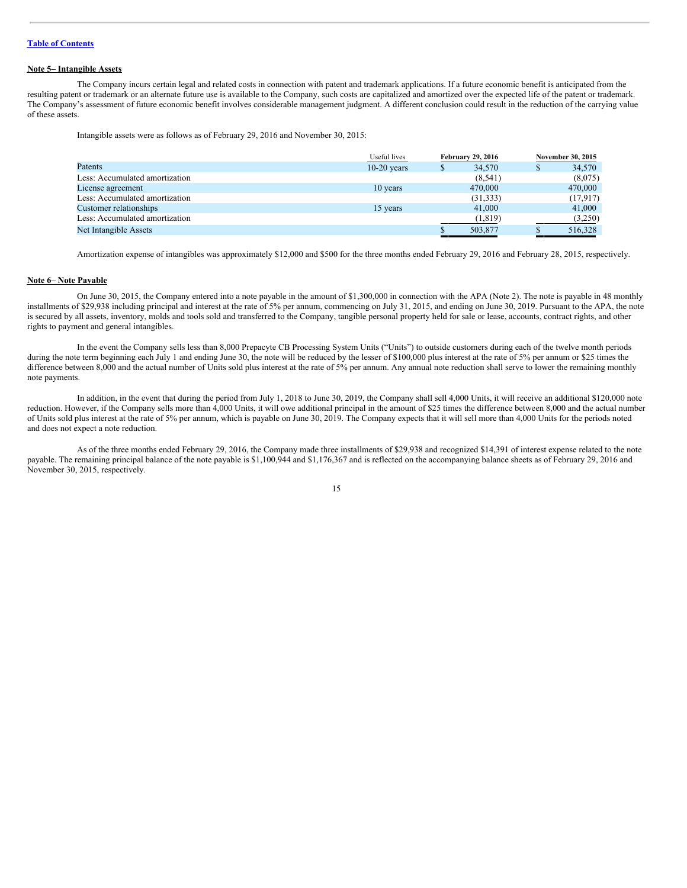#### **Note 5– Intangible Assets**

The Company incurs certain legal and related costs in connection with patent and trademark applications. If a future economic benefit is anticipated from the resulting patent or trademark or an alternate future use is available to the Company, such costs are capitalized and amortized over the expected life of the patent or trademark. The Company's assessment of future economic benefit involves considerable management judgment. A different conclusion could result in the reduction of the carrying value of these assets.

Intangible assets were as follows as of February 29, 2016 and November 30, 2015:

|                                | Useful lives  | <b>February 29, 2016</b> | November 30, 2015 |
|--------------------------------|---------------|--------------------------|-------------------|
| Patents                        | $10-20$ years | 34,570                   | 34,570            |
| Less: Accumulated amortization |               | (8, 541)                 | (8,075)           |
| License agreement              | 10 years      | 470,000                  | 470,000           |
| Less: Accumulated amortization |               | (31, 333)                | (17,917)          |
| Customer relationships         | 15 years      | 41,000                   | 41,000            |
| Less: Accumulated amortization |               | (1, 819)                 | (3,250)           |
| Net Intangible Assets          |               | 503,877                  | 516,328           |

Amortization expense of intangibles was approximately \$12,000 and \$500 for the three months ended February 29, 2016 and February 28, 2015, respectively.

#### **Note 6– Note Payable**

On June 30, 2015, the Company entered into a note payable in the amount of \$1,300,000 in connection with the APA (Note 2). The note is payable in 48 monthly installments of \$29,938 including principal and interest at the rate of 5% per annum, commencing on July 31, 2015, and ending on June 30, 2019. Pursuant to the APA, the note is secured by all assets, inventory, molds and tools sold and transferred to the Company, tangible personal property held for sale or lease, accounts, contract rights, and other rights to payment and general intangibles.

In the event the Company sells less than 8,000 Prepacyte CB Processing System Units ("Units") to outside customers during each of the twelve month periods during the note term beginning each July 1 and ending June 30, the note will be reduced by the lesser of \$100,000 plus interest at the rate of 5% per annum or \$25 times the difference between 8,000 and the actual number of Units sold plus interest at the rate of 5% per annum. Any annual note reduction shall serve to lower the remaining monthly note payments.

In addition, in the event that during the period from July 1, 2018 to June 30, 2019, the Company shall sell 4,000 Units, it will receive an additional \$120,000 note reduction. However, if the Company sells more than 4,000 Units, it will owe additional principal in the amount of \$25 times the difference between 8,000 and the actual number of Units sold plus interest at the rate of 5% per annum, which is payable on June 30, 2019. The Company expects that it will sell more than 4,000 Units for the periods noted and does not expect a note reduction.

As of the three months ended February 29, 2016, the Company made three installments of \$29,938 and recognized \$14,391 of interest expense related to the note payable. The remaining principal balance of the note payable is \$1,100,944 and \$1,176,367 and is reflected on the accompanying balance sheets as of February 29, 2016 and November 30, 2015, respectively.

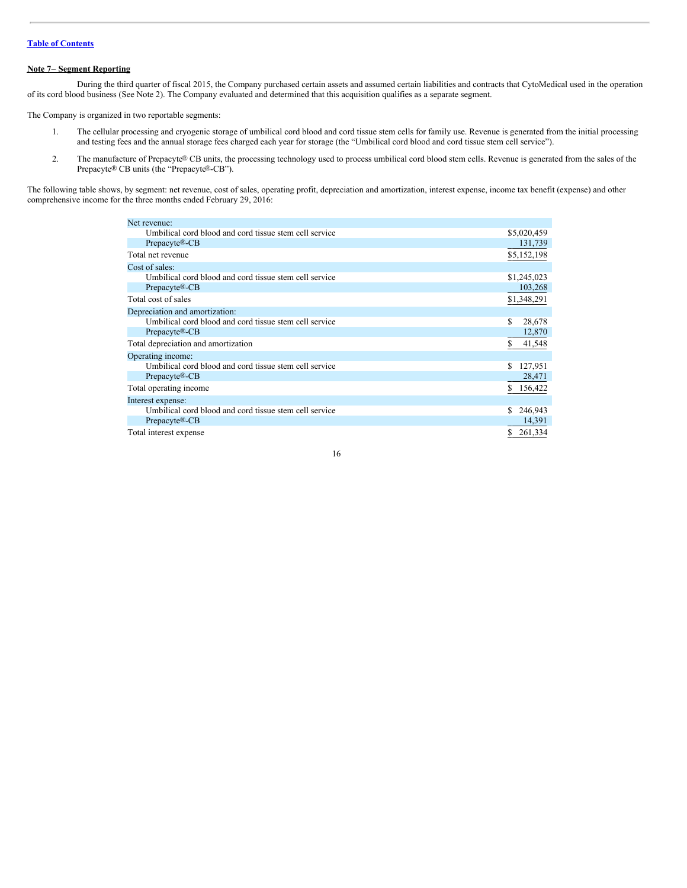#### **Note 7**– **Segment Reporting**

During the third quarter of fiscal 2015, the Company purchased certain assets and assumed certain liabilities and contracts that CytoMedical used in the operation of its cord blood business (See Note 2). The Company evaluated and determined that this acquisition qualifies as a separate segment.

The Company is organized in two reportable segments:

- 1. The cellular processing and cryogenic storage of umbilical cord blood and cord tissue stem cells for family use. Revenue is generated from the initial processing and testing fees and the annual storage fees charged each year for storage (the "Umbilical cord blood and cord tissue stem cell service").
- 2. The manufacture of Prepacyte® CB units, the processing technology used to process umbilical cord blood stem cells. Revenue is generated from the sales of the Prepacyte® CB units (the "Prepacyte®-CB").

The following table shows, by segment: net revenue, cost of sales, operating profit, depreciation and amortization, interest expense, income tax benefit (expense) and other comprehensive income for the three months ended February 29, 2016:

| Net revenue:                                           |              |
|--------------------------------------------------------|--------------|
| Umbilical cord blood and cord tissue stem cell service | \$5,020,459  |
| Prepacyte®-CB                                          | 131,739      |
| Total net revenue                                      | \$5,152,198  |
| Cost of sales:                                         |              |
| Umbilical cord blood and cord tissue stem cell service | \$1,245,023  |
| Prepacyte®-CB                                          | 103,268      |
| Total cost of sales                                    | \$1,348,291  |
| Depreciation and amortization:                         |              |
| Umbilical cord blood and cord tissue stem cell service | S<br>28,678  |
| Prepacyte®-CB                                          | 12,870       |
| Total depreciation and amortization                    | S.<br>41,548 |
| Operating income:                                      |              |
| Umbilical cord blood and cord tissue stem cell service | S<br>127,951 |
| Prepacyte®-CB                                          | 28,471       |
| Total operating income                                 | 156,422<br>S |
| Interest expense:                                      |              |
| Umbilical cord blood and cord tissue stem cell service | S<br>246,943 |
| Prepacyte®-CB                                          | 14,391       |
| Total interest expense                                 | 261,334      |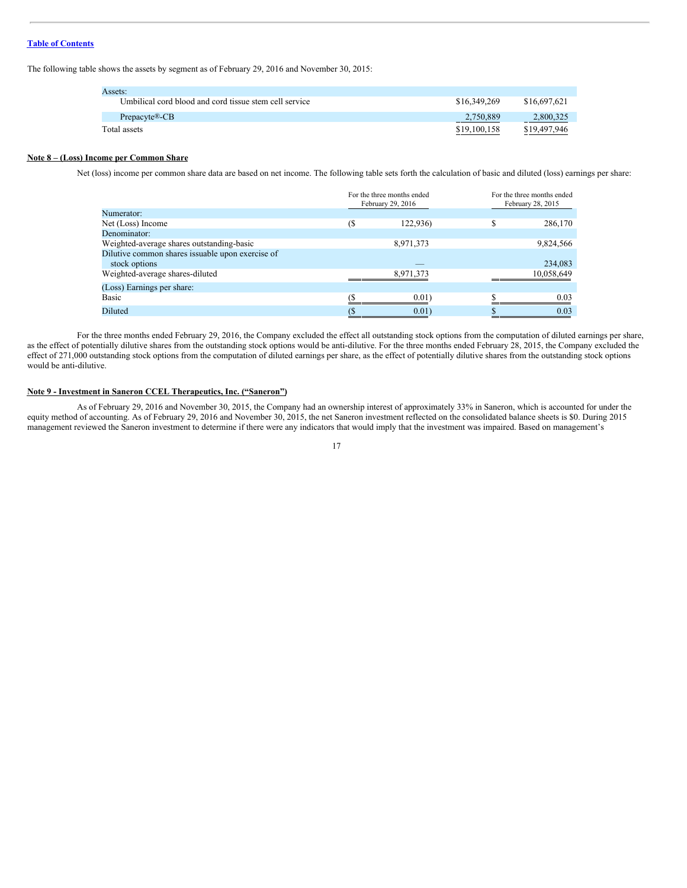The following table shows the assets by segment as of February 29, 2016 and November 30, 2015:

| Assets:                                                |              |              |
|--------------------------------------------------------|--------------|--------------|
| Umbilical cord blood and cord tissue stem cell service | \$16,349,269 | \$16,697,621 |
| Prepacyte <sup>®</sup> -CB                             | 2,750,889    | 2,800,325    |
| Total assets                                           | \$19,100,158 | \$19,497,946 |

#### **Note 8 – (Loss) Income per Common Share**

Net (loss) income per common share data are based on net income. The following table sets forth the calculation of basic and diluted (loss) earnings per share:

|                                                                   | For the three months ended<br>February 29, 2016 |           | For the three months ended<br>February 28, 2015 |            |
|-------------------------------------------------------------------|-------------------------------------------------|-----------|-------------------------------------------------|------------|
| Numerator:                                                        |                                                 |           |                                                 |            |
| Net (Loss) Income                                                 | $($ \$                                          | 122,936)  |                                                 | 286,170    |
| Denominator:                                                      |                                                 |           |                                                 |            |
| Weighted-average shares outstanding-basic                         |                                                 | 8,971,373 |                                                 | 9,824,566  |
| Dilutive common shares issuable upon exercise of<br>stock options |                                                 |           |                                                 | 234,083    |
| Weighted-average shares-diluted                                   |                                                 | 8.971,373 |                                                 | 10,058,649 |
| (Loss) Earnings per share:                                        |                                                 |           |                                                 |            |
| Basic                                                             |                                                 | 0.01)     |                                                 | 0.03       |
| Diluted                                                           |                                                 | 0.01)     |                                                 | 0.03       |

For the three months ended February 29, 2016, the Company excluded the effect all outstanding stock options from the computation of diluted earnings per share, as the effect of potentially dilutive shares from the outstanding stock options would be anti-dilutive. For the three months ended February 28, 2015, the Company excluded the effect of 271,000 outstanding stock options from the computation of diluted earnings per share, as the effect of potentially dilutive shares from the outstanding stock options would be anti-dilutive.

#### **Note 9 - Investment in Saneron CCEL Therapeutics, Inc. ("Saneron")**

As of February 29, 2016 and November 30, 2015, the Company had an ownership interest of approximately 33% in Saneron, which is accounted for under the equity method of accounting. As of February 29, 2016 and November 30, 2015, the net Saneron investment reflected on the consolidated balance sheets is \$0. During 2015 management reviewed the Saneron investment to determine if there were any indicators that would imply that the investment was impaired. Based on management's

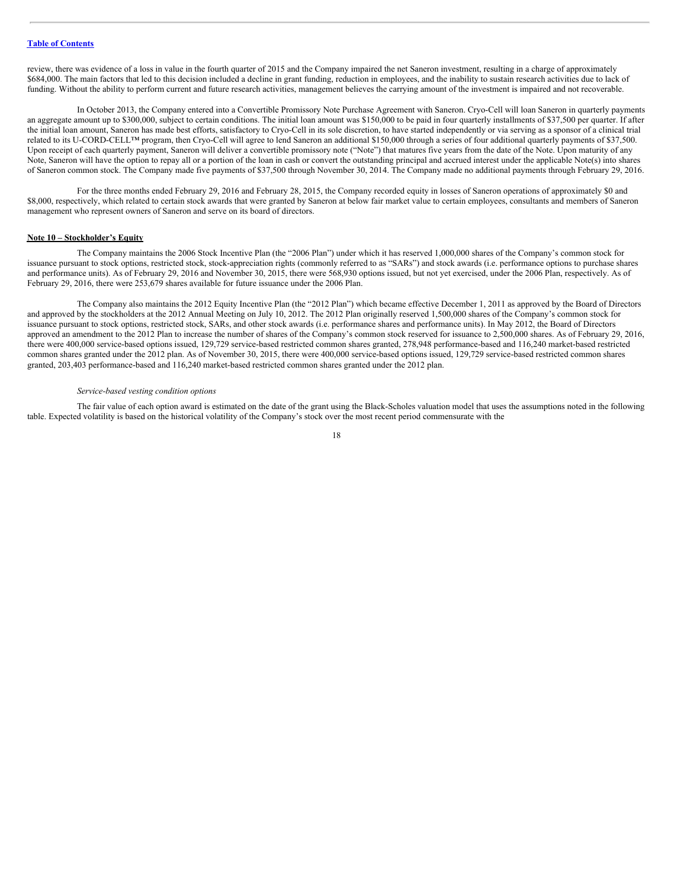review, there was evidence of a loss in value in the fourth quarter of 2015 and the Company impaired the net Saneron investment, resulting in a charge of approximately \$684,000. The main factors that led to this decision included a decline in grant funding, reduction in employees, and the inability to sustain research activities due to lack of funding. Without the ability to perform current and future research activities, management believes the carrying amount of the investment is impaired and not recoverable.

In October 2013, the Company entered into a Convertible Promissory Note Purchase Agreement with Saneron. Cryo-Cell will loan Saneron in quarterly payments an aggregate amount up to \$300,000, subject to certain conditions. The initial loan amount was \$150,000 to be paid in four quarterly installments of \$37,500 per quarter. If after the initial loan amount, Saneron has made best efforts, satisfactory to Cryo-Cell in its sole discretion, to have started independently or via serving as a sponsor of a clinical trial related to its U-CORD-CELL™ program, then Cryo-Cell will agree to lend Saneron an additional \$150,000 through a series of four additional quarterly payments of \$37,500. Upon receipt of each quarterly payment, Saneron will deliver a convertible promissory note ("Note") that matures five years from the date of the Note. Upon maturity of any Note, Saneron will have the option to repay all or a portion of the loan in cash or convert the outstanding principal and accrued interest under the applicable Note(s) into shares of Saneron common stock. The Company made five payments of \$37,500 through November 30, 2014. The Company made no additional payments through February 29, 2016.

For the three months ended February 29, 2016 and February 28, 2015, the Company recorded equity in losses of Saneron operations of approximately \$0 and \$8,000, respectively, which related to certain stock awards that were granted by Saneron at below fair market value to certain employees, consultants and members of Saneron management who represent owners of Saneron and serve on its board of directors.

#### **Note 10 – Stockholder's Equity**

The Company maintains the 2006 Stock Incentive Plan (the "2006 Plan") under which it has reserved 1,000,000 shares of the Company's common stock for issuance pursuant to stock options, restricted stock, stock-appreciation rights (commonly referred to as "SARs") and stock awards (i.e. performance options to purchase shares and performance units). As of February 29, 2016 and November 30, 2015, there were 568,930 options issued, but not yet exercised, under the 2006 Plan, respectively. As of February 29, 2016, there were 253,679 shares available for future issuance under the 2006 Plan.

The Company also maintains the 2012 Equity Incentive Plan (the "2012 Plan") which became effective December 1, 2011 as approved by the Board of Directors and approved by the stockholders at the 2012 Annual Meeting on July 10, 2012. The 2012 Plan originally reserved 1,500,000 shares of the Company's common stock for issuance pursuant to stock options, restricted stock, SARs, and other stock awards (i.e. performance shares and performance units). In May 2012, the Board of Directors approved an amendment to the 2012 Plan to increase the number of shares of the Company's common stock reserved for issuance to 2,500,000 shares. As of February 29, 2016, there were 400,000 service-based options issued, 129,729 service-based restricted common shares granted, 278,948 performance-based and 116,240 market-based restricted common shares granted under the 2012 plan. As of November 30, 2015, there were 400,000 service-based options issued, 129,729 service-based restricted common shares granted, 203,403 performance-based and 116,240 market-based restricted common shares granted under the 2012 plan.

#### *Service-based vesting condition options*

The fair value of each option award is estimated on the date of the grant using the Black-Scholes valuation model that uses the assumptions noted in the following table. Expected volatility is based on the historical volatility of the Company's stock over the most recent period commensurate with the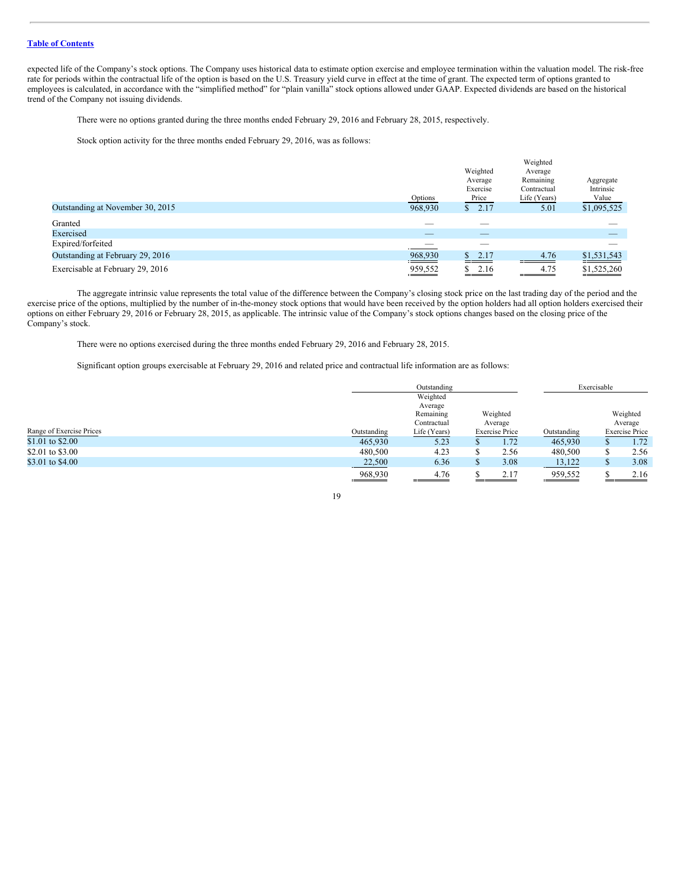expected life of the Company's stock options. The Company uses historical data to estimate option exercise and employee termination within the valuation model. The risk-free rate for periods within the contractual life of the option is based on the U.S. Treasury yield curve in effect at the time of grant. The expected term of options granted to employees is calculated, in accordance with the "simplified method" for "plain vanilla" stock options allowed under GAAP. Expected dividends are based on the historical trend of the Company not issuing dividends.

There were no options granted during the three months ended February 29, 2016 and February 28, 2015, respectively.

Stock option activity for the three months ended February 29, 2016, was as follows:

|                                  |         |          | Weighted     |             |
|----------------------------------|---------|----------|--------------|-------------|
|                                  |         | Weighted | Average      |             |
|                                  |         | Average  | Remaining    | Aggregate   |
|                                  |         | Exercise | Contractual  | Intrinsic   |
|                                  | Options | Price    | Life (Years) | Value       |
| Outstanding at November 30, 2015 | 968,930 | \$2.17   | 5.01         | \$1,095,525 |
| Granted                          |         |          |              |             |
| Exercised                        | __      | _        |              |             |
| Expired/forfeited                |         |          |              |             |
| Outstanding at February 29, 2016 | 968,930 | \$2.17   | 4.76         | \$1,531,543 |
| Exercisable at February 29, 2016 | 959,552 | 2.16     | 4.75         | \$1,525,260 |
|                                  |         |          |              |             |

Weighted

The aggregate intrinsic value represents the total value of the difference between the Company's closing stock price on the last trading day of the period and the exercise price of the options, multiplied by the number of in-the-money stock options that would have been received by the option holders had all option holders exercised their options on either February 29, 2016 or February 28, 2015, as applicable. The intrinsic value of the Company's stock options changes based on the closing price of the Company's stock.

There were no options exercised during the three months ended February 29, 2016 and February 28, 2015.

Significant option groups exercisable at February 29, 2016 and related price and contractual life information are as follows:

|                          |             | Outstanding  |          |                       |             | Exercisable |                       |  |
|--------------------------|-------------|--------------|----------|-----------------------|-------------|-------------|-----------------------|--|
|                          |             | Weighted     |          |                       |             |             |                       |  |
|                          |             | Average      |          |                       |             |             |                       |  |
|                          |             | Remaining    |          | Weighted              |             |             | Weighted              |  |
|                          |             | Contractual  |          | Average               |             |             | Average               |  |
| Range of Exercise Prices | Outstanding | Life (Years) |          | <b>Exercise Price</b> | Outstanding |             | <b>Exercise Price</b> |  |
| \$1.01 to \$2.00         | 465,930     | 5.23         | $\Delta$ | 1.72                  | 465,930     |             | 1.72                  |  |
| \$2.01 to \$3.00         | 480,500     | 4.23         |          | 2.56                  | 480,500     | J.          | 2.56                  |  |
| \$3.01 to \$4.00         | 22,500      | 6.36         | \$       | 3.08                  | 13,122      |             | 3.08                  |  |
|                          | 968,930     | 4.76         |          | 2.17                  | 959,552     |             | 2.16                  |  |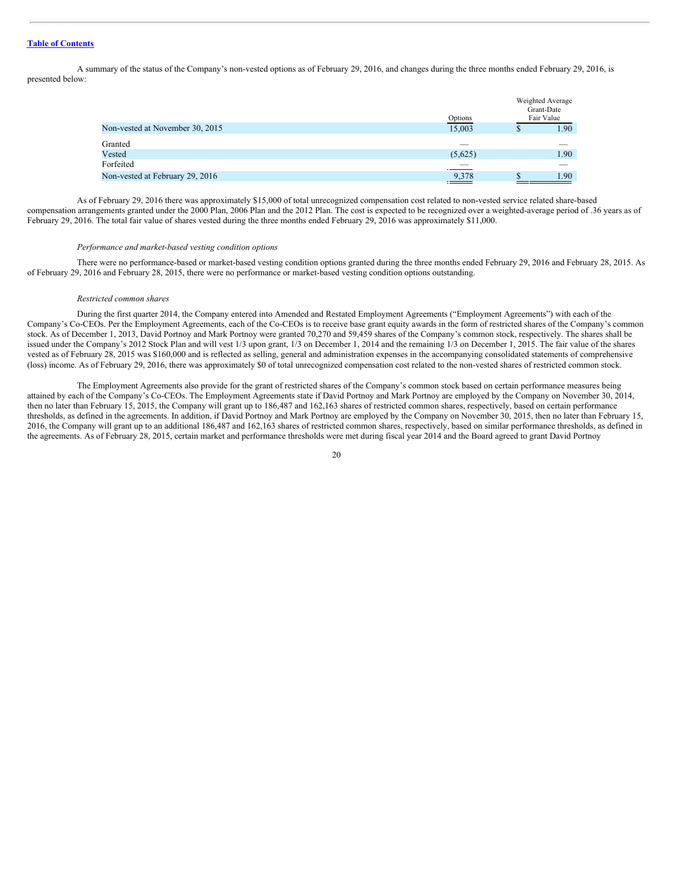A summary of the status of the Company's non-vested options as of February 29, 2016, and changes during the three months ended February 29, 2016, is presented below:

|                                 | Options         |   | Weighted Average<br>Grant-Date<br>Fair Value |
|---------------------------------|-----------------|---|----------------------------------------------|
| Non-vested at November 30, 2015 | 15,003          | Φ | 1.90                                         |
| Granted                         | __              |   |                                              |
| Vested                          | (5,625)         |   | 1.90                                         |
| Forfeited                       |                 |   | ___                                          |
| Non-vested at February 29, 2016 | 9,378<br>______ |   | 1.90                                         |

As of February 29, 2016 there was approximately \$15,000 of total unrecognized compensation cost related to non-vested service related share-based compensation arrangements granted under the 2000 Plan, 2006 Plan and the 2012 Plan. The cost is expected to be recognized over a weighted-average period of .36 years as of February 29, 2016. The total fair value of shares vested during the three months ended February 29, 2016 was approximately \$11,000.

# *Performance and market-based vesting condition options*

There were no performance-based or market-based vesting condition options granted during the three months ended February 29, 2016 and February 28, 2015. As of February 29, 2016 and February 28, 2015, there were no performance or market-based vesting condition options outstanding.

#### *Restricted common shares*

During the first quarter 2014, the Company entered into Amended and Restated Employment Agreements ("Employment Agreements") with each of the Company's Co-CEOs. Per the Employment Agreements, each of the Co-CEOs is to receive base grant equity awards in the form of restricted shares of the Company's common stock. As of December 1, 2013, David Portnoy and Mark Portnoy were granted 70,270 and 59,459 shares of the Company's common stock, respectively. The shares shall be issued under the Company's 2012 Stock Plan and will vest 1/3 upon grant, 1/3 on December 1, 2014 and the remaining 1/3 on December 1, 2015. The fair value of the shares vested as of February 28, 2015 was \$160,000 and is reflected as selling, general and administration expenses in the accompanying consolidated statements of comprehensive (loss) income. As of February 29, 2016, there was approximately \$0 of total unrecognized compensation cost related to the non-vested shares of restricted common stock.

The Employment Agreements also provide for the grant of restricted shares of the Company's common stock based on certain performance measures being attained by each of the Company's Co-CEOs. The Employment Agreements state if David Portnoy and Mark Portnoy are employed by the Company on November 30, 2014, then no later than February 15, 2015, the Company will grant up to 186,487 and 162,163 shares of restricted common shares, respectively, based on certain performance thresholds, as defined in the agreements. In addition, if David Portnoy and Mark Portnoy are employed by the Company on November 30, 2015, then no later than February 15, 2016, the Company will grant up to an additional 186,487 and 162,163 shares of restricted common shares, respectively, based on similar performance thresholds, as defined in the agreements. As of February 28, 2015, certain market and performance thresholds were met during fiscal year 2014 and the Board agreed to grant David Portnoy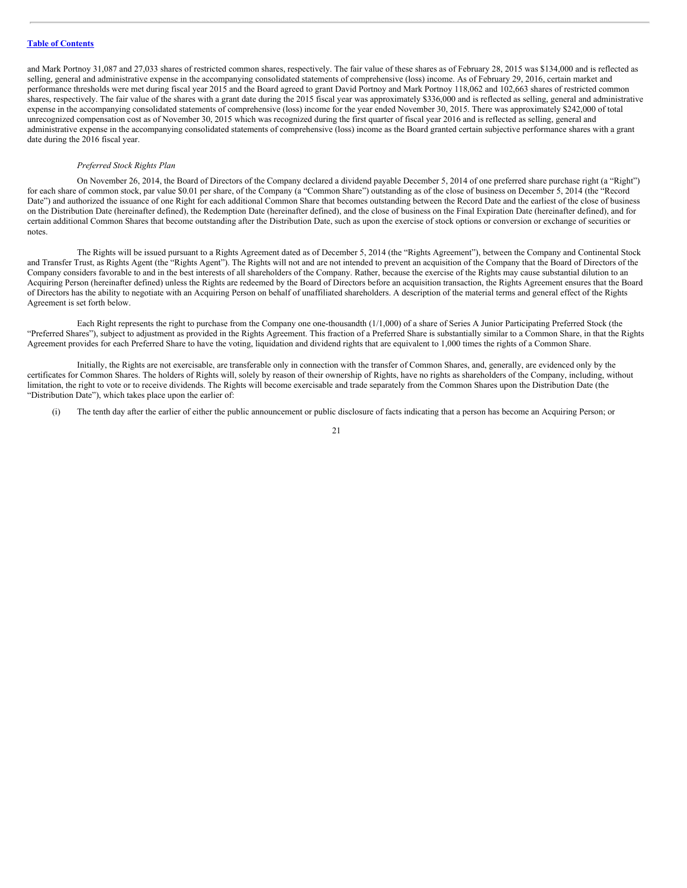and Mark Portnoy 31,087 and 27,033 shares of restricted common shares, respectively. The fair value of these shares as of February 28, 2015 was \$134,000 and is reflected as selling, general and administrative expense in the accompanying consolidated statements of comprehensive (loss) income. As of February 29, 2016, certain market and performance thresholds were met during fiscal year 2015 and the Board agreed to grant David Portnoy and Mark Portnoy 118,062 and 102,663 shares of restricted common shares, respectively. The fair value of the shares with a grant date during the 2015 fiscal year was approximately \$336,000 and is reflected as selling, general and administrative expense in the accompanying consolidated statements of comprehensive (loss) income for the year ended November 30, 2015. There was approximately \$242,000 of total unrecognized compensation cost as of November 30, 2015 which was recognized during the first quarter of fiscal year 2016 and is reflected as selling, general and administrative expense in the accompanying consolidated statements of comprehensive (loss) income as the Board granted certain subjective performance shares with a grant date during the 2016 fiscal year.

#### *Preferred Stock Rights Plan*

On November 26, 2014, the Board of Directors of the Company declared a dividend payable December 5, 2014 of one preferred share purchase right (a "Right") for each share of common stock, par value \$0.01 per share, of the Company (a "Common Share") outstanding as of the close of business on December 5, 2014 (the "Record Date") and authorized the issuance of one Right for each additional Common Share that becomes outstanding between the Record Date and the earliest of the close of business on the Distribution Date (hereinafter defined), the Redemption Date (hereinafter defined), and the close of business on the Final Expiration Date (hereinafter defined), and for certain additional Common Shares that become outstanding after the Distribution Date, such as upon the exercise of stock options or conversion or exchange of securities or notes.

The Rights will be issued pursuant to a Rights Agreement dated as of December 5, 2014 (the "Rights Agreement"), between the Company and Continental Stock and Transfer Trust, as Rights Agent (the "Rights Agent"). The Rights will not and are not intended to prevent an acquisition of the Company that the Board of Directors of the Company considers favorable to and in the best interests of all shareholders of the Company. Rather, because the exercise of the Rights may cause substantial dilution to an Acquiring Person (hereinafter defined) unless the Rights are redeemed by the Board of Directors before an acquisition transaction, the Rights Agreement ensures that the Board of Directors has the ability to negotiate with an Acquiring Person on behalf of unaffiliated shareholders. A description of the material terms and general effect of the Rights Agreement is set forth below.

Each Right represents the right to purchase from the Company one one-thousandth (1/1,000) of a share of Series A Junior Participating Preferred Stock (the "Preferred Shares"), subject to adjustment as provided in the Rights Agreement. This fraction of a Preferred Share is substantially similar to a Common Share, in that the Rights Agreement provides for each Preferred Share to have the voting, liquidation and dividend rights that are equivalent to 1,000 times the rights of a Common Share.

Initially, the Rights are not exercisable, are transferable only in connection with the transfer of Common Shares, and, generally, are evidenced only by the certificates for Common Shares. The holders of Rights will, solely by reason of their ownership of Rights, have no rights as shareholders of the Company, including, without limitation, the right to vote or to receive dividends. The Rights will become exercisable and trade separately from the Common Shares upon the Distribution Date (the "Distribution Date"), which takes place upon the earlier of:

The tenth day after the earlier of either the public announcement or public disclosure of facts indicating that a person has become an Acquiring Person; or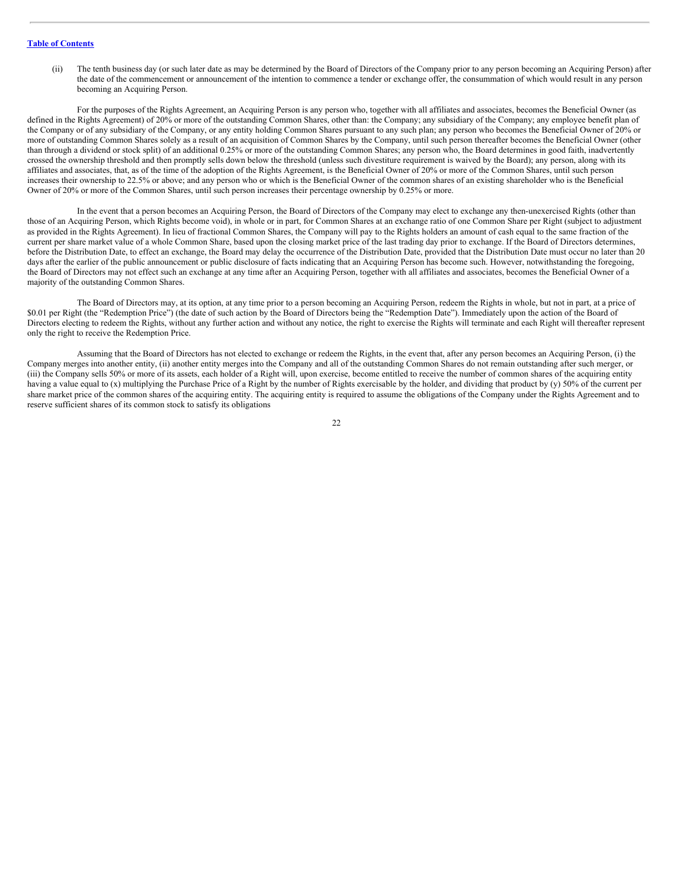(ii) The tenth business day (or such later date as may be determined by the Board of Directors of the Company prior to any person becoming an Acquiring Person) after the date of the commencement or announcement of the intention to commence a tender or exchange offer, the consummation of which would result in any person becoming an Acquiring Person.

For the purposes of the Rights Agreement, an Acquiring Person is any person who, together with all affiliates and associates, becomes the Beneficial Owner (as defined in the Rights Agreement) of 20% or more of the outstanding Common Shares, other than: the Company; any subsidiary of the Company; any employee benefit plan of the Company or of any subsidiary of the Company, or any entity holding Common Shares pursuant to any such plan; any person who becomes the Beneficial Owner of 20% or more of outstanding Common Shares solely as a result of an acquisition of Common Shares by the Company, until such person thereafter becomes the Beneficial Owner (other than through a dividend or stock split) of an additional 0.25% or more of the outstanding Common Shares; any person who, the Board determines in good faith, inadvertently crossed the ownership threshold and then promptly sells down below the threshold (unless such divestiture requirement is waived by the Board); any person, along with its affiliates and associates, that, as of the time of the adoption of the Rights Agreement, is the Beneficial Owner of 20% or more of the Common Shares, until such person increases their ownership to 22.5% or above; and any person who or which is the Beneficial Owner of the common shares of an existing shareholder who is the Beneficial Owner of 20% or more of the Common Shares, until such person increases their percentage ownership by 0.25% or more.

In the event that a person becomes an Acquiring Person, the Board of Directors of the Company may elect to exchange any then-unexercised Rights (other than those of an Acquiring Person, which Rights become void), in whole or in part, for Common Shares at an exchange ratio of one Common Share per Right (subject to adjustment as provided in the Rights Agreement). In lieu of fractional Common Shares, the Company will pay to the Rights holders an amount of cash equal to the same fraction of the current per share market value of a whole Common Share, based upon the closing market price of the last trading day prior to exchange. If the Board of Directors determines, before the Distribution Date, to effect an exchange, the Board may delay the occurrence of the Distribution Date, provided that the Distribution Date must occur no later than 20 days after the earlier of the public announcement or public disclosure of facts indicating that an Acquiring Person has become such. However, notwithstanding the foregoing, the Board of Directors may not effect such an exchange at any time after an Acquiring Person, together with all affiliates and associates, becomes the Beneficial Owner of a majority of the outstanding Common Shares.

The Board of Directors may, at its option, at any time prior to a person becoming an Acquiring Person, redeem the Rights in whole, but not in part, at a price of \$0.01 per Right (the "Redemption Price") (the date of such action by the Board of Directors being the "Redemption Date"). Immediately upon the action of the Board of Directors electing to redeem the Rights, without any further action and without any notice, the right to exercise the Rights will terminate and each Right will thereafter represent only the right to receive the Redemption Price.

Assuming that the Board of Directors has not elected to exchange or redeem the Rights, in the event that, after any person becomes an Acquiring Person, (i) the Company merges into another entity, (ii) another entity merges into the Company and all of the outstanding Common Shares do not remain outstanding after such merger, or (iii) the Company sells 50% or more of its assets, each holder of a Right will, upon exercise, become entitled to receive the number of common shares of the acquiring entity having a value equal to (x) multiplying the Purchase Price of a Right by the number of Rights exercisable by the holder, and dividing that product by (y) 50% of the current per share market price of the common shares of the acquiring entity. The acquiring entity is required to assume the obligations of the Company under the Rights Agreement and to reserve sufficient shares of its common stock to satisfy its obligations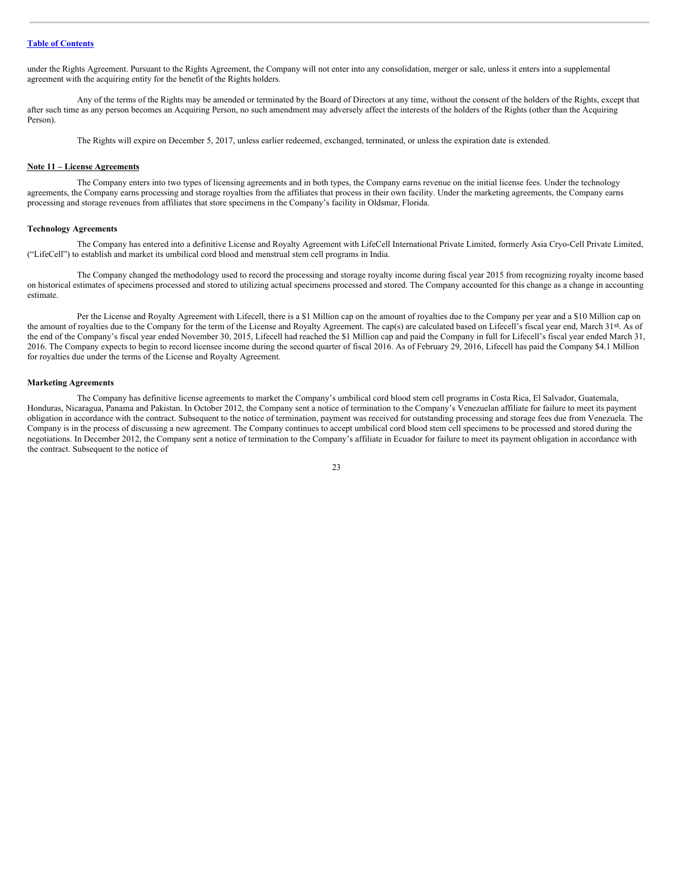under the Rights Agreement. Pursuant to the Rights Agreement, the Company will not enter into any consolidation, merger or sale, unless it enters into a supplemental agreement with the acquiring entity for the benefit of the Rights holders.

Any of the terms of the Rights may be amended or terminated by the Board of Directors at any time, without the consent of the holders of the Rights, except that after such time as any person becomes an Acquiring Person, no such amendment may adversely affect the interests of the holders of the Rights (other than the Acquiring Person).

The Rights will expire on December 5, 2017, unless earlier redeemed, exchanged, terminated, or unless the expiration date is extended.

#### **Note 11 – License Agreements**

The Company enters into two types of licensing agreements and in both types, the Company earns revenue on the initial license fees. Under the technology agreements, the Company earns processing and storage royalties from the affiliates that process in their own facility. Under the marketing agreements, the Company earns processing and storage revenues from affiliates that store specimens in the Company's facility in Oldsmar, Florida.

#### **Technology Agreements**

The Company has entered into a definitive License and Royalty Agreement with LifeCell International Private Limited, formerly Asia Cryo-Cell Private Limited, ("LifeCell") to establish and market its umbilical cord blood and menstrual stem cell programs in India.

The Company changed the methodology used to record the processing and storage royalty income during fiscal year 2015 from recognizing royalty income based on historical estimates of specimens processed and stored to utilizing actual specimens processed and stored. The Company accounted for this change as a change in accounting estimate.

Per the License and Royalty Agreement with Lifecell, there is a \$1 Million cap on the amount of royalties due to the Company per year and a \$10 Million cap on the amount of royalties due to the Company for the term of the License and Royalty Agreement. The cap(s) are calculated based on Lifecell's fiscal year end, March 31st. As of the end of the Company's fiscal year ended November 30, 2015, Lifecell had reached the \$1 Million cap and paid the Company in full for Lifecell's fiscal year ended March 31, 2016. The Company expects to begin to record licensee income during the second quarter of fiscal 2016. As of February 29, 2016, Lifecell has paid the Company \$4.1 Million for royalties due under the terms of the License and Royalty Agreement.

#### **Marketing Agreements**

The Company has definitive license agreements to market the Company's umbilical cord blood stem cell programs in Costa Rica, El Salvador, Guatemala, Honduras, Nicaragua, Panama and Pakistan. In October 2012, the Company sent a notice of termination to the Company's Venezuelan affiliate for failure to meet its payment obligation in accordance with the contract. Subsequent to the notice of termination, payment was received for outstanding processing and storage fees due from Venezuela. The Company is in the process of discussing a new agreement. The Company continues to accept umbilical cord blood stem cell specimens to be processed and stored during the negotiations. In December 2012, the Company sent a notice of termination to the Company's affiliate in Ecuador for failure to meet its payment obligation in accordance with the contract. Subsequent to the notice of

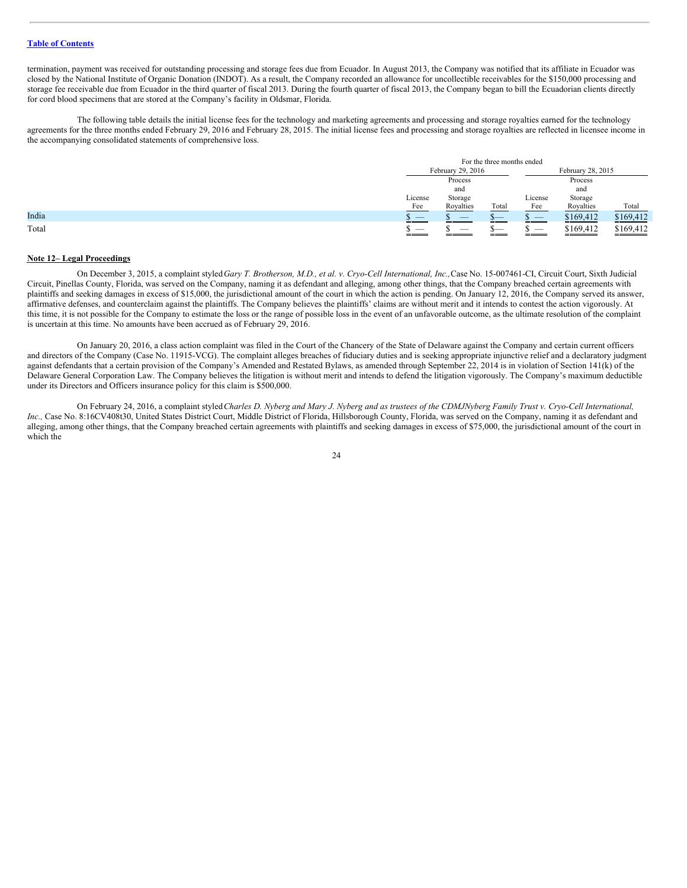termination, payment was received for outstanding processing and storage fees due from Ecuador. In August 2013, the Company was notified that its affiliate in Ecuador was closed by the National Institute of Organic Donation (INDOT). As a result, the Company recorded an allowance for uncollectible receivables for the \$150,000 processing and storage fee receivable due from Ecuador in the third quarter of fiscal 2013. During the fourth quarter of fiscal 2013, the Company began to bill the Ecuadorian clients directly for cord blood specimens that are stored at the Company's facility in Oldsmar, Florida.

The following table details the initial license fees for the technology and marketing agreements and processing and storage royalties earned for the technology agreements for the three months ended February 29, 2016 and February 28, 2015. The initial license fees and processing and storage royalties are reflected in licensee income in the accompanying consolidated statements of comprehensive loss.

|       |                          | For the three months ended             |       |                                                                                                                                                                                                                                                                                                                                                                                                         |           |           |  |
|-------|--------------------------|----------------------------------------|-------|---------------------------------------------------------------------------------------------------------------------------------------------------------------------------------------------------------------------------------------------------------------------------------------------------------------------------------------------------------------------------------------------------------|-----------|-----------|--|
|       |                          | February 28, 2015<br>February 29, 2016 |       |                                                                                                                                                                                                                                                                                                                                                                                                         |           |           |  |
|       |                          | Process                                |       |                                                                                                                                                                                                                                                                                                                                                                                                         | Process   |           |  |
|       |                          | and                                    |       |                                                                                                                                                                                                                                                                                                                                                                                                         | and       |           |  |
|       | License                  | Storage                                |       | License                                                                                                                                                                                                                                                                                                                                                                                                 | Storage   |           |  |
|       | Fee                      | Royalties                              | Total | Fee                                                                                                                                                                                                                                                                                                                                                                                                     | Royalties | Total     |  |
| India | $\overline{\phantom{a}}$ | $\hspace{1.5cm} \overbrace{ }^{}$      | _     | $\hspace{1.0cm} \overline{\hspace{1.0cm} \hspace{1.0cm} \hspace{1.0cm} } \hspace{1.0cm} \hspace{1.0cm} \overline{\hspace{1.0cm} \hspace{1.0cm} \hspace{1.0cm} } \hspace{1.0cm} \hspace{1.0cm} \overline{\hspace{1.0cm} \hspace{1.0cm} \hspace{1.0cm} } \hspace{1.0cm} \hspace{1.0cm} \overline{\hspace{1.0cm} \hspace{1.0cm} \hspace{1.0cm} } \hspace{1.0cm} \hspace{1.0cm} \hspace{1.0cm} } \hspace{1$ | \$169,412 | \$169,412 |  |
| Total | $\overline{\phantom{a}}$ | $\overline{\phantom{a}}$               | $-$   | $\overline{\phantom{a}}$                                                                                                                                                                                                                                                                                                                                                                                | \$169,412 | \$169,412 |  |

# **Note 12– Legal Proceedings**

On December 3, 2015, a complaint styled Gary T. Brotherson, M.D., et al. v. Cryo-Cell International, Inc., Case No. 15-007461-CI, Circuit Court, Sixth Judicial Circuit, Pinellas County, Florida, was served on the Company, naming it as defendant and alleging, among other things, that the Company breached certain agreements with plaintiffs and seeking damages in excess of \$15,000, the jurisdictional amount of the court in which the action is pending. On January 12, 2016, the Company served its answer, affirmative defenses, and counterclaim against the plaintiffs. The Company believes the plaintiffs' claims are without merit and it intends to contest the action vigorously. At this time, it is not possible for the Company to estimate the loss or the range of possible loss in the event of an unfavorable outcome, as the ultimate resolution of the complaint is uncertain at this time. No amounts have been accrued as of February 29, 2016.

On January 20, 2016, a class action complaint was filed in the Court of the Chancery of the State of Delaware against the Company and certain current officers and directors of the Company (Case No. 11915-VCG). The complaint alleges breaches of fiduciary duties and is seeking appropriate injunctive relief and a declaratory judgment against defendants that a certain provision of the Company's Amended and Restated Bylaws, as amended through September 22, 2014 is in violation of Section 141(k) of the Delaware General Corporation Law. The Company believes the litigation is without merit and intends to defend the litigation vigorously. The Company's maximum deductible under its Directors and Officers insurance policy for this claim is \$500,000.

On February 24, 2016, a complaint styled Charles D. Nyberg and Mary J. Nyberg and as trustees of the CDMJNyberg Family Trust v. Cryo-Cell International, *Inc.,* Case No. 8:16CV408t30, United States District Court, Middle District of Florida, Hillsborough County, Florida, was served on the Company, naming it as defendant and alleging, among other things, that the Company breached certain agreements with plaintiffs and seeking damages in excess of \$75,000, the jurisdictional amount of the court in which the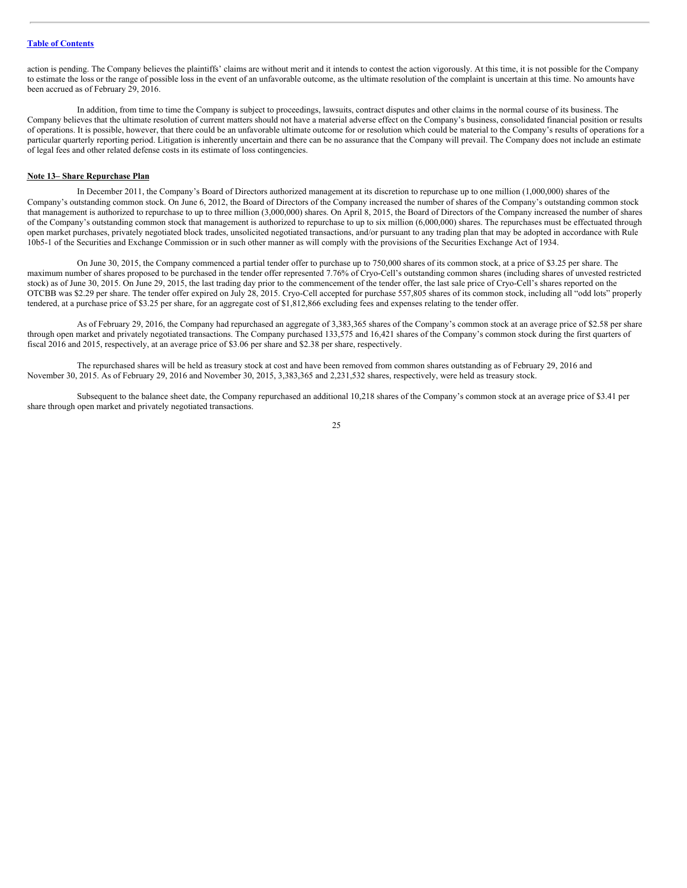action is pending. The Company believes the plaintiffs' claims are without merit and it intends to contest the action vigorously. At this time, it is not possible for the Company to estimate the loss or the range of possible loss in the event of an unfavorable outcome, as the ultimate resolution of the complaint is uncertain at this time. No amounts have been accrued as of February 29, 2016.

In addition, from time to time the Company is subject to proceedings, lawsuits, contract disputes and other claims in the normal course of its business. The Company believes that the ultimate resolution of current matters should not have a material adverse effect on the Company's business, consolidated financial position or results of operations. It is possible, however, that there could be an unfavorable ultimate outcome for or resolution which could be material to the Company's results of operations for a particular quarterly reporting period. Litigation is inherently uncertain and there can be no assurance that the Company will prevail. The Company does not include an estimate of legal fees and other related defense costs in its estimate of loss contingencies.

#### **Note 13– Share Repurchase Plan**

In December 2011, the Company's Board of Directors authorized management at its discretion to repurchase up to one million (1,000,000) shares of the Company's outstanding common stock. On June 6, 2012, the Board of Directors of the Company increased the number of shares of the Company's outstanding common stock that management is authorized to repurchase to up to three million (3,000,000) shares. On April 8, 2015, the Board of Directors of the Company increased the number of shares of the Company's outstanding common stock that management is authorized to repurchase to up to six million (6,000,000) shares. The repurchases must be effectuated through open market purchases, privately negotiated block trades, unsolicited negotiated transactions, and/or pursuant to any trading plan that may be adopted in accordance with Rule 10b5-1 of the Securities and Exchange Commission or in such other manner as will comply with the provisions of the Securities Exchange Act of 1934.

On June 30, 2015, the Company commenced a partial tender offer to purchase up to 750,000 shares of its common stock, at a price of \$3.25 per share. The maximum number of shares proposed to be purchased in the tender offer represented 7.76% of Cryo-Cell's outstanding common shares (including shares of unvested restricted stock) as of June 30, 2015. On June 29, 2015, the last trading day prior to the commencement of the tender offer, the last sale price of Cryo-Cell's shares reported on the OTCBB was \$2.29 per share. The tender offer expired on July 28, 2015. Cryo-Cell accepted for purchase 557,805 shares of its common stock, including all "odd lots" properly tendered, at a purchase price of \$3.25 per share, for an aggregate cost of \$1,812,866 excluding fees and expenses relating to the tender offer.

As of February 29, 2016, the Company had repurchased an aggregate of 3,383,365 shares of the Company's common stock at an average price of \$2.58 per share through open market and privately negotiated transactions. The Company purchased 133,575 and 16,421 shares of the Company's common stock during the first quarters of fiscal 2016 and 2015, respectively, at an average price of \$3.06 per share and \$2.38 per share, respectively.

The repurchased shares will be held as treasury stock at cost and have been removed from common shares outstanding as of February 29, 2016 and November 30, 2015. As of February 29, 2016 and November 30, 2015, 3,383,365 and 2,231,532 shares, respectively, were held as treasury stock.

Subsequent to the balance sheet date, the Company repurchased an additional 10,218 shares of the Company's common stock at an average price of \$3.41 per share through open market and privately negotiated transactions.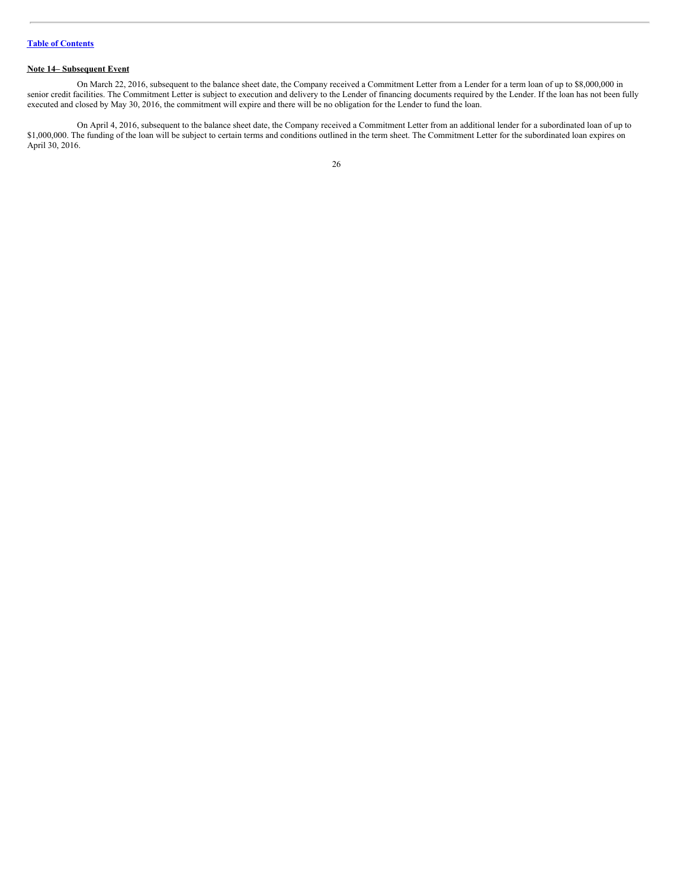# **Note 14– Subsequent Event**

On March 22, 2016, subsequent to the balance sheet date, the Company received a Commitment Letter from a Lender for a term loan of up to \$8,000,000 in senior credit facilities. The Commitment Letter is subject to execution and delivery to the Lender of financing documents required by the Lender. If the loan has not been fully executed and closed by May 30, 2016, the commitment will expire and there will be no obligation for the Lender to fund the loan.

On April 4, 2016, subsequent to the balance sheet date, the Company received a Commitment Letter from an additional lender for a subordinated loan of up to \$1,000,000. The funding of the loan will be subject to certain terms and conditions outlined in the term sheet. The Commitment Letter for the subordinated loan expires on April 30, 2016.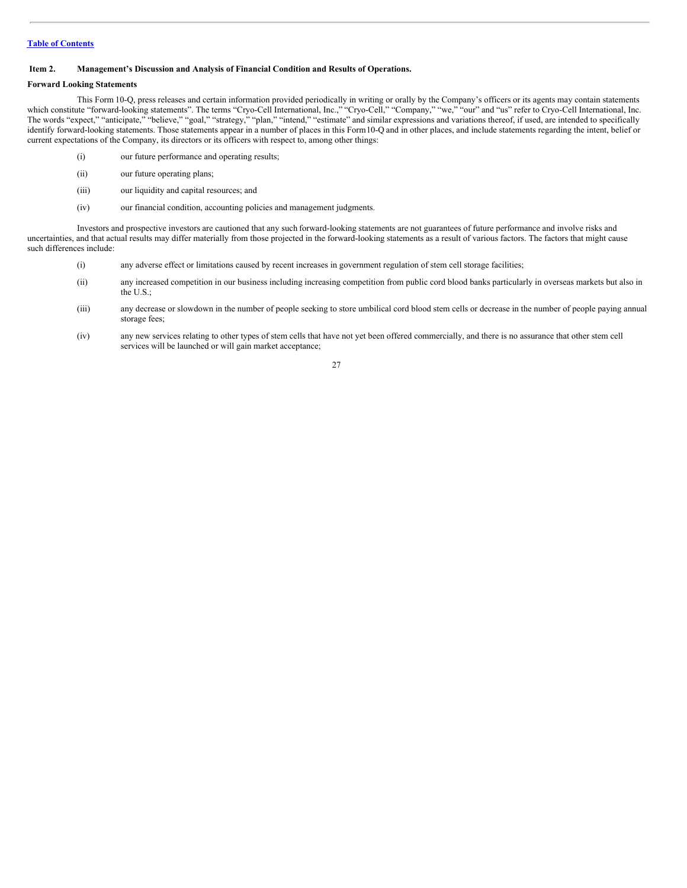# <span id="page-27-0"></span>**Item 2. Management's Discussion and Analysis of Financial Condition and Results of Operations.**

#### **Forward Looking Statements**

This Form 10-Q, press releases and certain information provided periodically in writing or orally by the Company's officers or its agents may contain statements which constitute "forward-looking statements". The terms "Cryo-Cell International, Inc.," "Cryo-Cell," "Company," "we," "our" and "us" refer to Cryo-Cell International, Inc. The words "expect," "anticipate," "believe," "goal," "strategy," "plan," "intend," "estimate" and similar expressions and variations thereof, if used, are intended to specifically identify forward-looking statements. Those statements appear in a number of places in this Form10-Q and in other places, and include statements regarding the intent, belief or current expectations of the Company, its directors or its officers with respect to, among other things:

- (i) our future performance and operating results;
- (ii) our future operating plans;
- (iii) our liquidity and capital resources; and
- (iv) our financial condition, accounting policies and management judgments.

Investors and prospective investors are cautioned that any such forward-looking statements are not guarantees of future performance and involve risks and uncertainties, and that actual results may differ materially from those projected in the forward-looking statements as a result of various factors. The factors that might cause such differences include:

- (i) any adverse effect or limitations caused by recent increases in government regulation of stem cell storage facilities;
- (ii) any increased competition in our business including increasing competition from public cord blood banks particularly in overseas markets but also in the U.S.;
- (iii) any decrease or slowdown in the number of people seeking to store umbilical cord blood stem cells or decrease in the number of people paying annual storage fees;
- (iv) any new services relating to other types of stem cells that have not yet been offered commercially, and there is no assurance that other stem cell services will be launched or will gain market acceptance;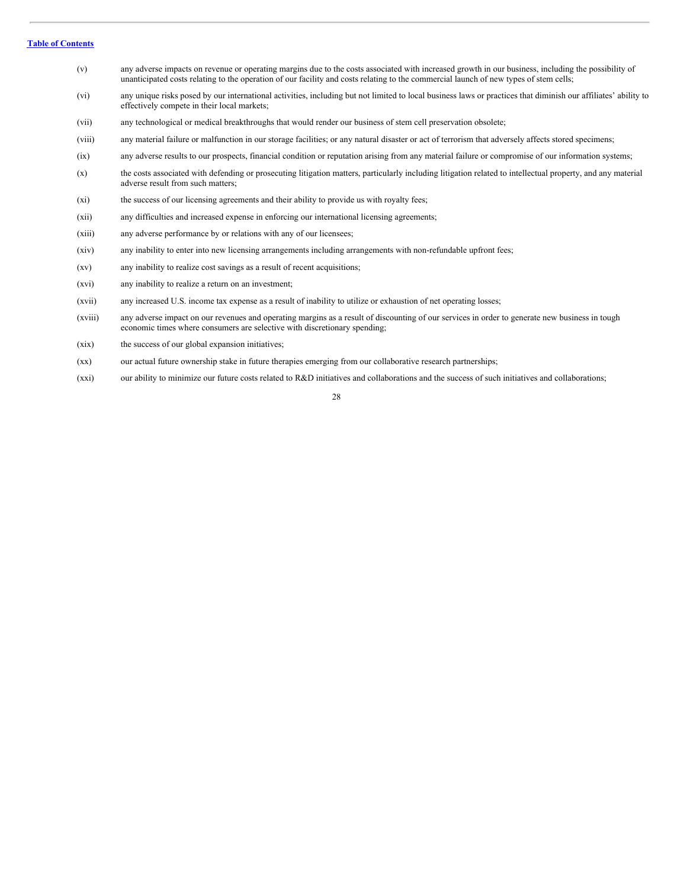- (v) any adverse impacts on revenue or operating margins due to the costs associated with increased growth in our business, including the possibility of unanticipated costs relating to the operation of our facility and costs relating to the commercial launch of new types of stem cells;
- (vi) any unique risks posed by our international activities, including but not limited to local business laws or practices that diminish our affiliates' ability to effectively compete in their local markets;
- (vii) any technological or medical breakthroughs that would render our business of stem cell preservation obsolete;
- (viii) any material failure or malfunction in our storage facilities; or any natural disaster or act of terrorism that adversely affects stored specimens;
- (ix) any adverse results to our prospects, financial condition or reputation arising from any material failure or compromise of our information systems;
- (x) the costs associated with defending or prosecuting litigation matters, particularly including litigation related to intellectual property, and any material adverse result from such matters;
- (xi) the success of our licensing agreements and their ability to provide us with royalty fees;
- (xii) any difficulties and increased expense in enforcing our international licensing agreements;
- (xiii) any adverse performance by or relations with any of our licensees;
- (xiv) any inability to enter into new licensing arrangements including arrangements with non-refundable upfront fees;
- (xv) any inability to realize cost savings as a result of recent acquisitions;
- (xvi) any inability to realize a return on an investment;
- (xvii) any increased U.S. income tax expense as a result of inability to utilize or exhaustion of net operating losses;
- (xviii) any adverse impact on our revenues and operating margins as a result of discounting of our services in order to generate new business in tough economic times where consumers are selective with discretionary spending;
- (xix) the success of our global expansion initiatives;
- (xx) our actual future ownership stake in future therapies emerging from our collaborative research partnerships;
- (xxi) our ability to minimize our future costs related to R&D initiatives and collaborations and the success of such initiatives and collaborations;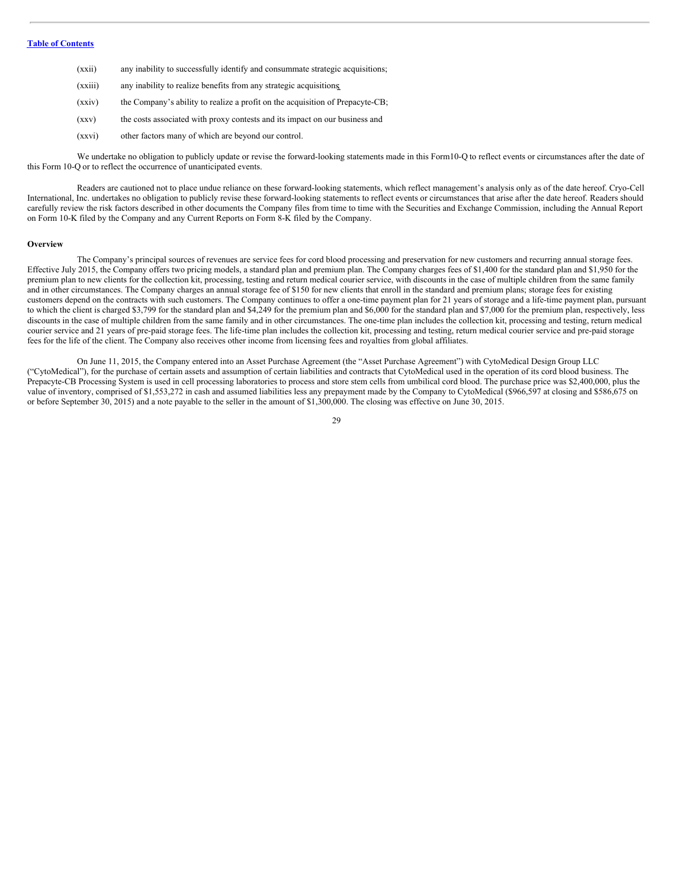- (xxii) any inability to successfully identify and consummate strategic acquisitions;
- (xxiii) any inability to realize benefits from any strategic acquisitions;
- (xxiv) the Company's ability to realize a profit on the acquisition of Prepacyte-CB;
- (xxv) the costs associated with proxy contests and its impact on our business and
- (xxvi) other factors many of which are beyond our control.

We undertake no obligation to publicly update or revise the forward-looking statements made in this Form10-Q to reflect events or circumstances after the date of this Form 10-Q or to reflect the occurrence of unanticipated events.

Readers are cautioned not to place undue reliance on these forward-looking statements, which reflect management's analysis only as of the date hereof. Cryo-Cell International, Inc. undertakes no obligation to publicly revise these forward-looking statements to reflect events or circumstances that arise after the date hereof. Readers should carefully review the risk factors described in other documents the Company files from time to time with the Securities and Exchange Commission, including the Annual Report on Form 10-K filed by the Company and any Current Reports on Form 8-K filed by the Company.

#### **Overview**

The Company's principal sources of revenues are service fees for cord blood processing and preservation for new customers and recurring annual storage fees. Effective July 2015, the Company offers two pricing models, a standard plan and premium plan. The Company charges fees of \$1,400 for the standard plan and \$1,950 for the premium plan to new clients for the collection kit, processing, testing and return medical courier service, with discounts in the case of multiple children from the same family and in other circumstances. The Company charges an annual storage fee of \$150 for new clients that enroll in the standard and premium plans; storage fees for existing customers depend on the contracts with such customers. The Company continues to offer a one-time payment plan for 21 years of storage and a life-time payment plan, pursuant to which the client is charged \$3,799 for the standard plan and \$4,249 for the premium plan and \$6,000 for the standard plan and \$7,000 for the premium plan, respectively, less discounts in the case of multiple children from the same family and in other circumstances. The one-time plan includes the collection kit, processing and testing, return medical courier service and 21 years of pre-paid storage fees. The life-time plan includes the collection kit, processing and testing, return medical courier service and pre-paid storage fees for the life of the client. The Company also receives other income from licensing fees and royalties from global affiliates.

On June 11, 2015, the Company entered into an Asset Purchase Agreement (the "Asset Purchase Agreement") with CytoMedical Design Group LLC ("CytoMedical"), for the purchase of certain assets and assumption of certain liabilities and contracts that CytoMedical used in the operation of its cord blood business. The Prepacyte-CB Processing System is used in cell processing laboratories to process and store stem cells from umbilical cord blood. The purchase price was \$2,400,000, plus the value of inventory, comprised of \$1,553,272 in cash and assumed liabilities less any prepayment made by the Company to CytoMedical (\$966,597 at closing and \$586,675 on or before September 30, 2015) and a note payable to the seller in the amount of \$1,300,000. The closing was effective on June 30, 2015.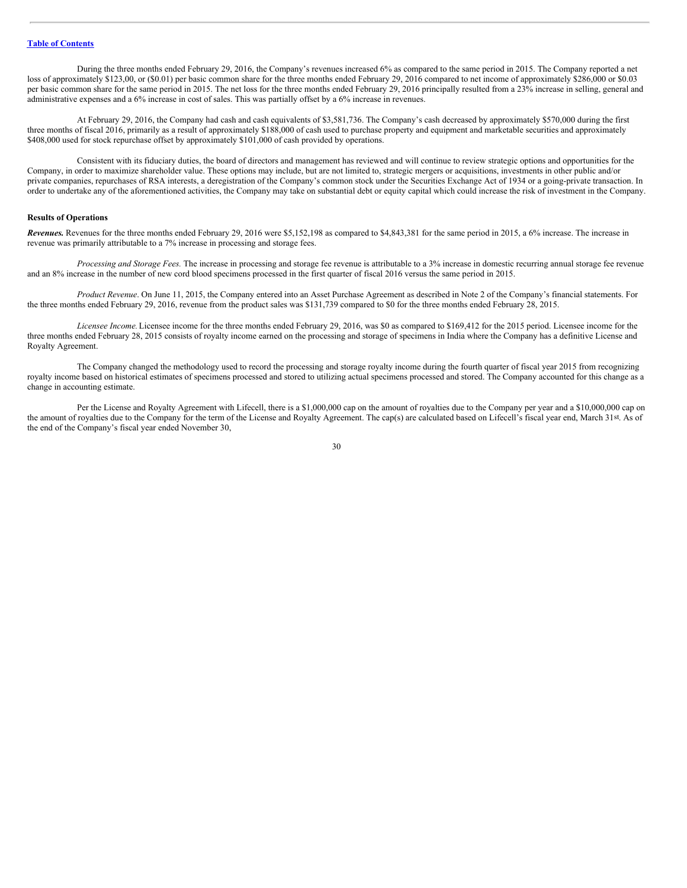During the three months ended February 29, 2016, the Company's revenues increased 6% as compared to the same period in 2015. The Company reported a net loss of approximately \$123,00, or (\$0.01) per basic common share for the three months ended February 29, 2016 compared to net income of approximately \$286,000 or \$0.03 per basic common share for the same period in 2015. The net loss for the three months ended February 29, 2016 principally resulted from a 23% increase in selling, general and administrative expenses and a 6% increase in cost of sales. This was partially offset by a 6% increase in revenues.

At February 29, 2016, the Company had cash and cash equivalents of \$3,581,736. The Company's cash decreased by approximately \$570,000 during the first three months of fiscal 2016, primarily as a result of approximately \$188,000 of cash used to purchase property and equipment and marketable securities and approximately \$408,000 used for stock repurchase offset by approximately \$101,000 of cash provided by operations.

Consistent with its fiduciary duties, the board of directors and management has reviewed and will continue to review strategic options and opportunities for the Company, in order to maximize shareholder value. These options may include, but are not limited to, strategic mergers or acquisitions, investments in other public and/or private companies, repurchases of RSA interests, a deregistration of the Company's common stock under the Securities Exchange Act of 1934 or a going-private transaction. In order to undertake any of the aforementioned activities, the Company may take on substantial debt or equity capital which could increase the risk of investment in the Company.

#### **Results of Operations**

*Revenues.* Revenues for the three months ended February 29, 2016 were \$5,152,198 as compared to \$4,843,381 for the same period in 2015, a 6% increase. The increase in revenue was primarily attributable to a 7% increase in processing and storage fees.

*Processing and Storage Fees.* The increase in processing and storage fee revenue is attributable to a 3% increase in domestic recurring annual storage fee revenue and an 8% increase in the number of new cord blood specimens processed in the first quarter of fiscal 2016 versus the same period in 2015.

*Product Revenue*. On June 11, 2015, the Company entered into an Asset Purchase Agreement as described in Note 2 of the Company's financial statements. For the three months ended February 29, 2016, revenue from the product sales was \$131,739 compared to \$0 for the three months ended February 28, 2015.

*Licensee Income.*Licensee income for the three months ended February 29, 2016, was \$0 as compared to \$169,412 for the 2015 period. Licensee income for the three months ended February 28, 2015 consists of royalty income earned on the processing and storage of specimens in India where the Company has a definitive License and Royalty Agreement.

The Company changed the methodology used to record the processing and storage royalty income during the fourth quarter of fiscal year 2015 from recognizing royalty income based on historical estimates of specimens processed and stored to utilizing actual specimens processed and stored. The Company accounted for this change as a change in accounting estimate.

Per the License and Royalty Agreement with Lifecell, there is a \$1,000,000 cap on the amount of royalties due to the Company per year and a \$10,000,000 cap on the amount of royalties due to the Company for the term of the License and Royalty Agreement. The cap(s) are calculated based on Lifecell's fiscal year end, March 31st. As of the end of the Company's fiscal year ended November 30,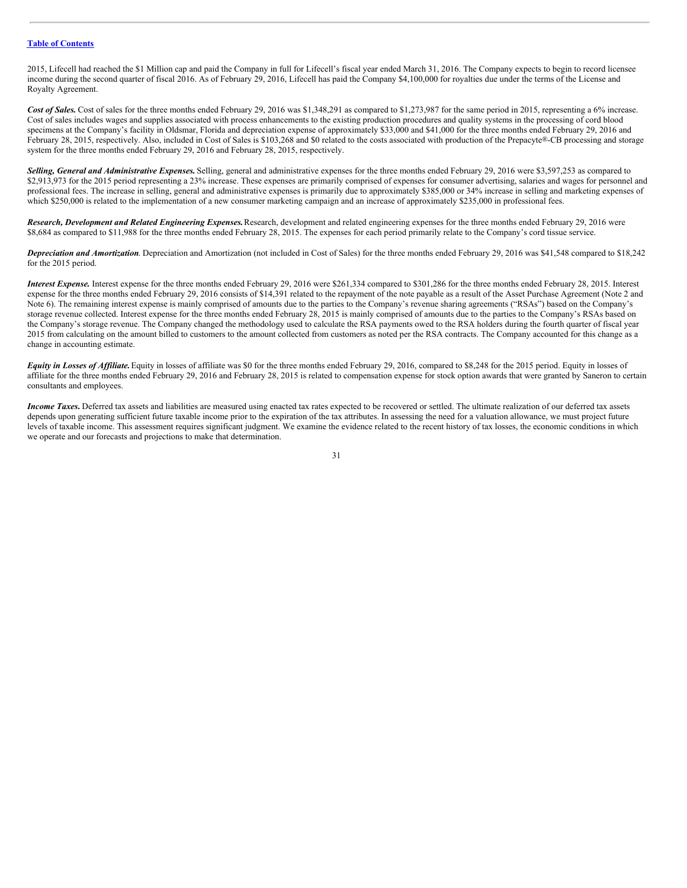2015, Lifecell had reached the \$1 Million cap and paid the Company in full for Lifecell's fiscal year ended March 31, 2016. The Company expects to begin to record licensee income during the second quarter of fiscal 2016. As of February 29, 2016, Lifecell has paid the Company \$4,100,000 for royalties due under the terms of the License and Royalty Agreement.

Cost of Sales. Cost of sales for the three months ended February 29, 2016 was \$1,348,291 as compared to \$1,273,987 for the same period in 2015, representing a 6% increase. Cost of sales includes wages and supplies associated with process enhancements to the existing production procedures and quality systems in the processing of cord blood specimens at the Company's facility in Oldsmar, Florida and depreciation expense of approximately \$33,000 and \$41,000 for the three months ended February 29, 2016 and February 28, 2015, respectively. Also, included in Cost of Sales is \$103,268 and \$0 related to the costs associated with production of the Prepacyte®-CB processing and storage system for the three months ended February 29, 2016 and February 28, 2015, respectively.

*Selling, General and Administrative Expenses.* Selling, general and administrative expenses for the three months ended February 29, 2016 were \$3,597,253 as compared to \$2,913,973 for the 2015 period representing a 23% increase. These expenses are primarily comprised of expenses for consumer advertising, salaries and wages for personnel and professional fees. The increase in selling, general and administrative expenses is primarily due to approximately \$385,000 or 34% increase in selling and marketing expenses of which \$250,000 is related to the implementation of a new consumer marketing campaign and an increase of approximately \$235,000 in professional fees.

*Research, Development and Related Engineering Expenses.*Research, development and related engineering expenses for the three months ended February 29, 2016 were \$8,684 as compared to \$11,988 for the three months ended February 28, 2015. The expenses for each period primarily relate to the Company's cord tissue service.

*Depreciation and Amortization*. Depreciation and Amortization (not included in Cost of Sales) for the three months ended February 29, 2016 was \$41,548 compared to \$18,242 for the 2015 period.

*Interest Expense.* Interest expense for the three months ended February 29, 2016 were \$261,334 compared to \$301,286 for the three months ended February 28, 2015. Interest expense for the three months ended February 29, 2016 consists of \$14,391 related to the repayment of the note payable as a result of the Asset Purchase Agreement (Note 2 and Note 6). The remaining interest expense is mainly comprised of amounts due to the parties to the Company's revenue sharing agreements ("RSAs") based on the Company's storage revenue collected. Interest expense for the three months ended February 28, 2015 is mainly comprised of amounts due to the parties to the Company's RSAs based on the Company's storage revenue. The Company changed the methodology used to calculate the RSA payments owed to the RSA holders during the fourth quarter of fiscal year 2015 from calculating on the amount billed to customers to the amount collected from customers as noted per the RSA contracts. The Company accounted for this change as a change in accounting estimate.

*Equity in Losses of Af iliate.*Equity in losses of affiliate was \$0 for the three months ended February 29, 2016, compared to \$8,248 for the 2015 period. Equity in losses of affiliate for the three months ended February 29, 2016 and February 28, 2015 is related to compensation expense for stock option awards that were granted by Saneron to certain consultants and employees.

*Income Taxes*. Deferred tax assets and liabilities are measured using enacted tax rates expected to be recovered or settled. The ultimate realization of our deferred tax assets depends upon generating sufficient future taxable income prior to the expiration of the tax attributes. In assessing the need for a valuation allowance, we must project future levels of taxable income. This assessment requires significant judgment. We examine the evidence related to the recent history of tax losses, the economic conditions in which we operate and our forecasts and projections to make that determination.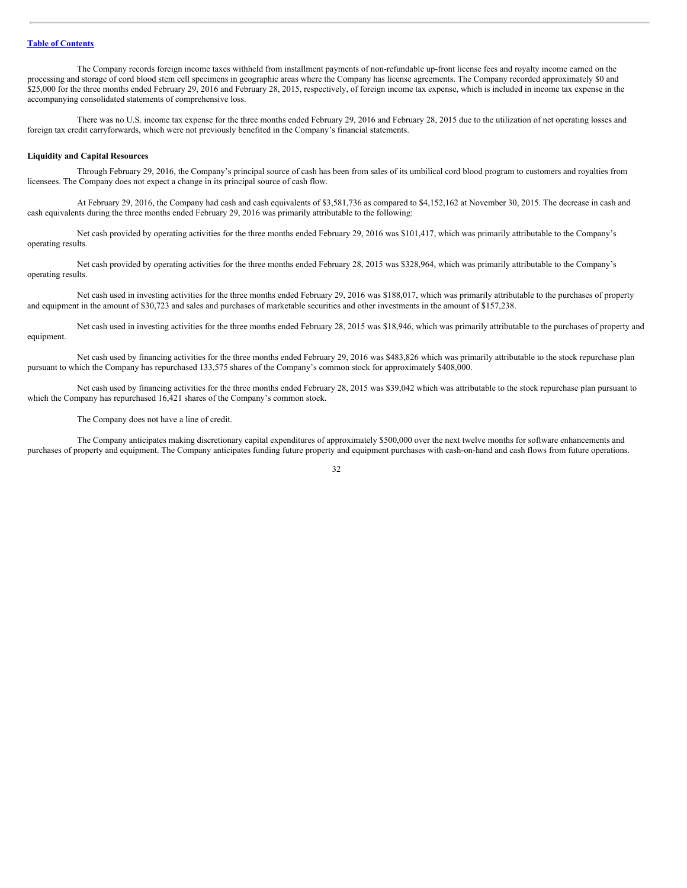The Company records foreign income taxes withheld from installment payments of non-refundable up-front license fees and royalty income earned on the processing and storage of cord blood stem cell specimens in geographic areas where the Company has license agreements. The Company recorded approximately \$0 and \$25,000 for the three months ended February 29, 2016 and February 28, 2015, respectively, of foreign income tax expense, which is included in income tax expense in the accompanying consolidated statements of comprehensive loss.

There was no U.S. income tax expense for the three months ended February 29, 2016 and February 28, 2015 due to the utilization of net operating losses and foreign tax credit carryforwards, which were not previously benefited in the Company's financial statements.

#### **Liquidity and Capital Resources**

Through February 29, 2016, the Company's principal source of cash has been from sales of its umbilical cord blood program to customers and royalties from licensees. The Company does not expect a change in its principal source of cash flow.

At February 29, 2016, the Company had cash and cash equivalents of \$3,581,736 as compared to \$4,152,162 at November 30, 2015. The decrease in cash and cash equivalents during the three months ended February 29, 2016 was primarily attributable to the following:

Net cash provided by operating activities for the three months ended February 29, 2016 was \$101,417, which was primarily attributable to the Company's operating results.

Net cash provided by operating activities for the three months ended February 28, 2015 was \$328,964, which was primarily attributable to the Company's operating results.

Net cash used in investing activities for the three months ended February 29, 2016 was \$188,017, which was primarily attributable to the purchases of property and equipment in the amount of \$30,723 and sales and purchases of marketable securities and other investments in the amount of \$157,238.

Net cash used in investing activities for the three months ended February 28, 2015 was \$18,946, which was primarily attributable to the purchases of property and equipment.

Net cash used by financing activities for the three months ended February 29, 2016 was \$483,826 which was primarily attributable to the stock repurchase plan pursuant to which the Company has repurchased 133,575 shares of the Company's common stock for approximately \$408,000.

Net cash used by financing activities for the three months ended February 28, 2015 was \$39,042 which was attributable to the stock repurchase plan pursuant to which the Company has repurchased 16,421 shares of the Company's common stock.

The Company does not have a line of credit.

The Company anticipates making discretionary capital expenditures of approximately \$500,000 over the next twelve months for software enhancements and purchases of property and equipment. The Company anticipates funding future property and equipment purchases with cash-on-hand and cash flows from future operations.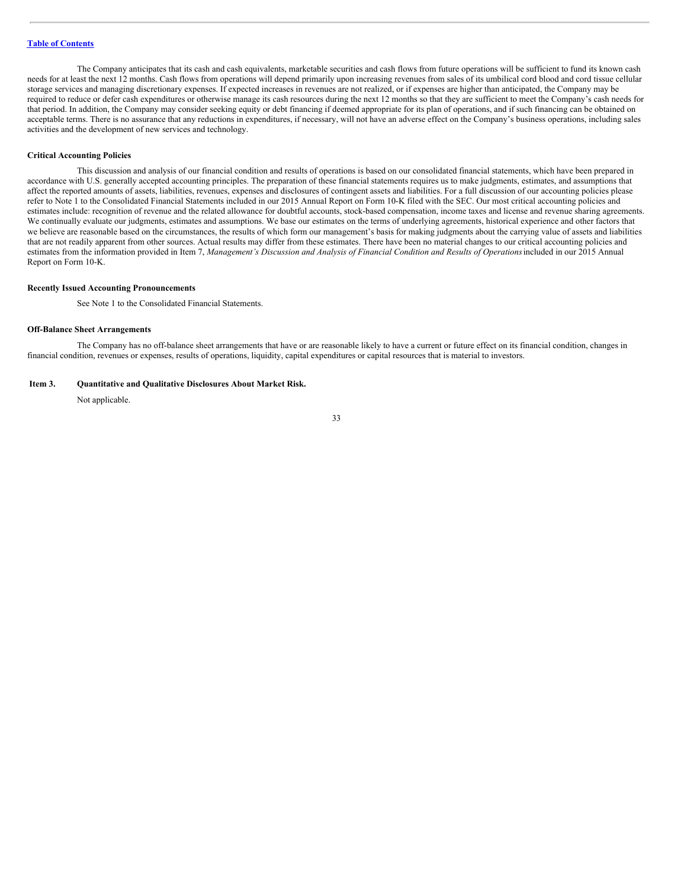The Company anticipates that its cash and cash equivalents, marketable securities and cash flows from future operations will be sufficient to fund its known cash needs for at least the next 12 months. Cash flows from operations will depend primarily upon increasing revenues from sales of its umbilical cord blood and cord tissue cellular storage services and managing discretionary expenses. If expected increases in revenues are not realized, or if expenses are higher than anticipated, the Company may be required to reduce or defer cash expenditures or otherwise manage its cash resources during the next 12 months so that they are sufficient to meet the Company's cash needs for that period. In addition, the Company may consider seeking equity or debt financing if deemed appropriate for its plan of operations, and if such financing can be obtained on acceptable terms. There is no assurance that any reductions in expenditures, if necessary, will not have an adverse effect on the Company's business operations, including sales activities and the development of new services and technology.

#### **Critical Accounting Policies**

This discussion and analysis of our financial condition and results of operations is based on our consolidated financial statements, which have been prepared in accordance with U.S. generally accepted accounting principles. The preparation of these financial statements requires us to make judgments, estimates, and assumptions that affect the reported amounts of assets, liabilities, revenues, expenses and disclosures of contingent assets and liabilities. For a full discussion of our accounting policies please refer to Note 1 to the Consolidated Financial Statements included in our 2015 Annual Report on Form 10-K filed with the SEC. Our most critical accounting policies and estimates include: recognition of revenue and the related allowance for doubtful accounts, stock-based compensation, income taxes and license and revenue sharing agreements. We continually evaluate our judgments, estimates and assumptions. We base our estimates on the terms of underlying agreements, historical experience and other factors that we believe are reasonable based on the circumstances, the results of which form our management's basis for making judgments about the carrying value of assets and liabilities that are not readily apparent from other sources. Actual results may differ from these estimates. There have been no material changes to our critical accounting policies and estimates from the information provided in Item 7, Management's Discussion and Analysis of Financial Condition and Results of Operations included in our 2015 Annual Report on Form 10-K.

#### **Recently Issued Accounting Pronouncements**

See Note 1 to the Consolidated Financial Statements.

#### **Off-Balance Sheet Arrangements**

The Company has no off-balance sheet arrangements that have or are reasonable likely to have a current or future effect on its financial condition, changes in financial condition, revenues or expenses, results of operations, liquidity, capital expenditures or capital resources that is material to investors.

#### <span id="page-33-0"></span>**Item 3. Quantitative and Qualitative Disclosures About Market Risk.**

Not applicable.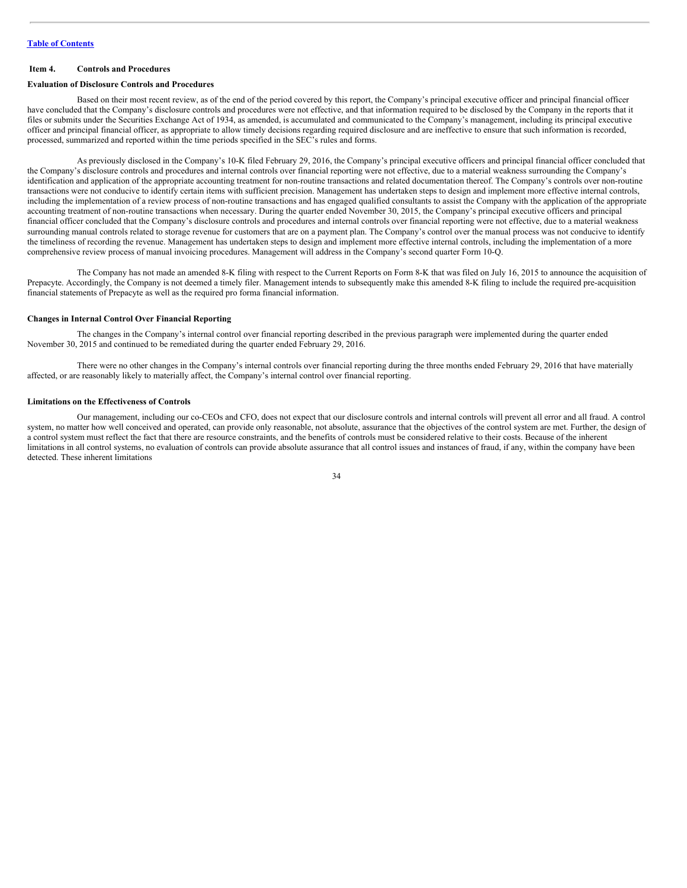#### <span id="page-34-0"></span>**Item 4. Controls and Procedures**

#### **Evaluation of Disclosure Controls and Procedures**

Based on their most recent review, as of the end of the period covered by this report, the Company's principal executive officer and principal financial officer have concluded that the Company's disclosure controls and procedures were not effective, and that information required to be disclosed by the Company in the reports that it files or submits under the Securities Exchange Act of 1934, as amended, is accumulated and communicated to the Company's management, including its principal executive officer and principal financial officer, as appropriate to allow timely decisions regarding required disclosure and are ineffective to ensure that such information is recorded, processed, summarized and reported within the time periods specified in the SEC's rules and forms.

As previously disclosed in the Company's 10-K filed February 29, 2016, the Company's principal executive officers and principal financial officer concluded that the Company's disclosure controls and procedures and internal controls over financial reporting were not effective, due to a material weakness surrounding the Company's identification and application of the appropriate accounting treatment for non-routine transactions and related documentation thereof. The Company's controls over non-routine transactions were not conducive to identify certain items with sufficient precision. Management has undertaken steps to design and implement more effective internal controls, including the implementation of a review process of non-routine transactions and has engaged qualified consultants to assist the Company with the application of the appropriate accounting treatment of non-routine transactions when necessary. During the quarter ended November 30, 2015, the Company's principal executive officers and principal financial officer concluded that the Company's disclosure controls and procedures and internal controls over financial reporting were not effective, due to a material weakness surrounding manual controls related to storage revenue for customers that are on a payment plan. The Company's control over the manual process was not conducive to identify the timeliness of recording the revenue. Management has undertaken steps to design and implement more effective internal controls, including the implementation of a more comprehensive review process of manual invoicing procedures. Management will address in the Company's second quarter Form 10-Q.

The Company has not made an amended 8-K filing with respect to the Current Reports on Form 8-K that was filed on July 16, 2015 to announce the acquisition of Prepacyte. Accordingly, the Company is not deemed a timely filer. Management intends to subsequently make this amended 8-K filing to include the required pre-acquisition financial statements of Prepacyte as well as the required pro forma financial information.

#### **Changes in Internal Control Over Financial Reporting**

The changes in the Company's internal control over financial reporting described in the previous paragraph were implemented during the quarter ended November 30, 2015 and continued to be remediated during the quarter ended February 29, 2016.

There were no other changes in the Company's internal controls over financial reporting during the three months ended February 29, 2016 that have materially affected, or are reasonably likely to materially affect, the Company's internal control over financial reporting.

#### **Limitations on the Effectiveness of Controls**

Our management, including our co-CEOs and CFO, does not expect that our disclosure controls and internal controls will prevent all error and all fraud. A control system, no matter how well conceived and operated, can provide only reasonable, not absolute, assurance that the objectives of the control system are met. Further, the design of a control system must reflect the fact that there are resource constraints, and the benefits of controls must be considered relative to their costs. Because of the inherent limitations in all control systems, no evaluation of controls can provide absolute assurance that all control issues and instances of fraud, if any, within the company have been detected. These inherent limitations

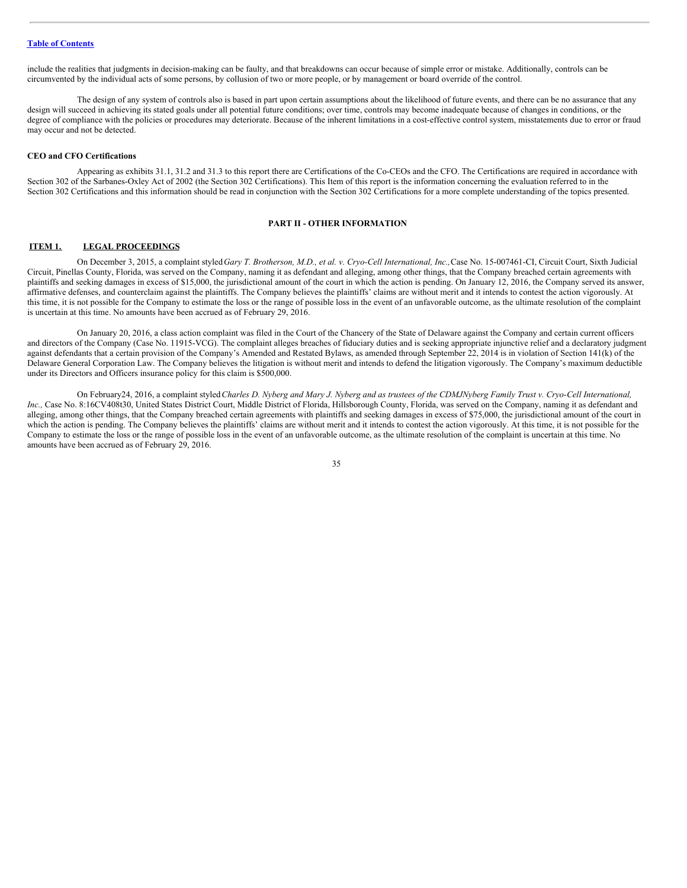include the realities that judgments in decision-making can be faulty, and that breakdowns can occur because of simple error or mistake. Additionally, controls can be circumvented by the individual acts of some persons, by collusion of two or more people, or by management or board override of the control.

The design of any system of controls also is based in part upon certain assumptions about the likelihood of future events, and there can be no assurance that any design will succeed in achieving its stated goals under all potential future conditions; over time, controls may become inadequate because of changes in conditions, or the degree of compliance with the policies or procedures may deteriorate. Because of the inherent limitations in a cost-effective control system, misstatements due to error or fraud may occur and not be detected.

#### **CEO and CFO Certifications**

Appearing as exhibits 31.1, 31.2 and 31.3 to this report there are Certifications of the Co-CEOs and the CFO. The Certifications are required in accordance with Section 302 of the Sarbanes-Oxley Act of 2002 (the Section 302 Certifications). This Item of this report is the information concerning the evaluation referred to in the Section 302 Certifications and this information should be read in conjunction with the Section 302 Certifications for a more complete understanding of the topics presented.

#### <span id="page-35-0"></span>**PART II - OTHER INFORMATION**

#### <span id="page-35-1"></span>**ITEM 1. LEGAL PROCEEDINGS**

On December 3, 2015, a complaint styled Gary T. Brotherson, M.D., et al. v. Cryo-Cell International, Inc., Case No. 15-007461-CI, Circuit Court, Sixth Judicial Circuit, Pinellas County, Florida, was served on the Company, naming it as defendant and alleging, among other things, that the Company breached certain agreements with plaintiffs and seeking damages in excess of \$15,000, the jurisdictional amount of the court in which the action is pending. On January 12, 2016, the Company served its answer, affirmative defenses, and counterclaim against the plaintiffs. The Company believes the plaintiffs' claims are without merit and it intends to contest the action vigorously. At this time, it is not possible for the Company to estimate the loss or the range of possible loss in the event of an unfavorable outcome, as the ultimate resolution of the complaint is uncertain at this time. No amounts have been accrued as of February 29, 2016.

On January 20, 2016, a class action complaint was filed in the Court of the Chancery of the State of Delaware against the Company and certain current officers and directors of the Company (Case No. 11915-VCG). The complaint alleges breaches of fiduciary duties and is seeking appropriate injunctive relief and a declaratory judgment against defendants that a certain provision of the Company's Amended and Restated Bylaws, as amended through September 22, 2014 is in violation of Section 141(k) of the Delaware General Corporation Law. The Company believes the litigation is without merit and intends to defend the litigation vigorously. The Company's maximum deductible under its Directors and Officers insurance policy for this claim is \$500,000.

On February 24, 2016, a complaint styled Charles D. Nyberg and Mary J. Nyberg and as trustees of the CDMJNyberg Family Trust v. Cryo-Cell International, *Inc.,* Case No. 8:16CV408t30, United States District Court, Middle District of Florida, Hillsborough County, Florida, was served on the Company, naming it as defendant and alleging, among other things, that the Company breached certain agreements with plaintiffs and seeking damages in excess of \$75,000, the jurisdictional amount of the court in which the action is pending. The Company believes the plaintiffs' claims are without merit and it intends to contest the action vigorously. At this time, it is not possible for the Company to estimate the loss or the range of possible loss in the event of an unfavorable outcome, as the ultimate resolution of the complaint is uncertain at this time. No amounts have been accrued as of February 29, 2016.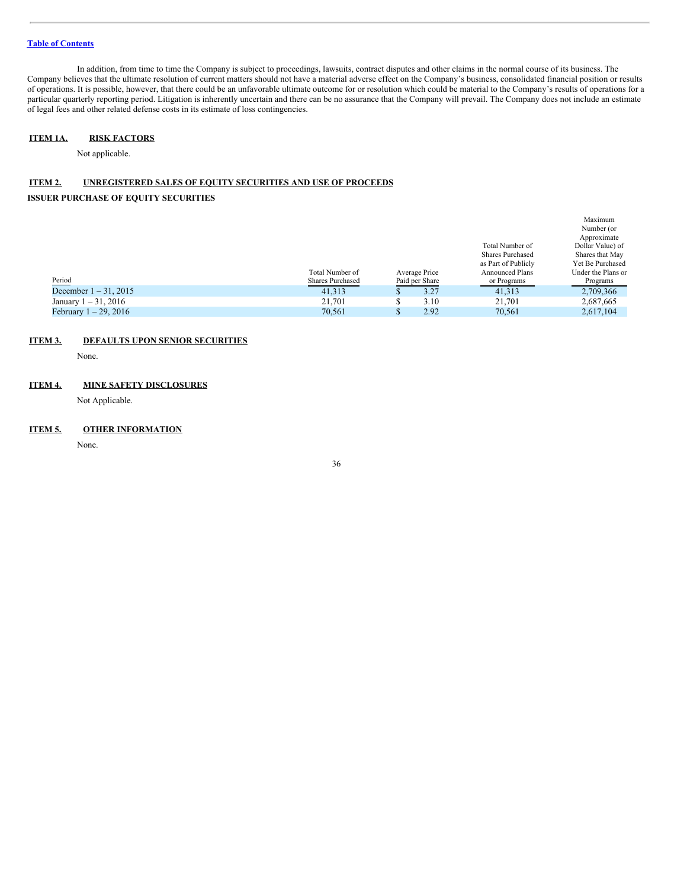In addition, from time to time the Company is subject to proceedings, lawsuits, contract disputes and other claims in the normal course of its business. The Company believes that the ultimate resolution of current matters should not have a material adverse effect on the Company's business, consolidated financial position or results of operations. It is possible, however, that there could be an unfavorable ultimate outcome for or resolution which could be material to the Company's results of operations for a particular quarterly reporting period. Litigation is inherently uncertain and there can be no assurance that the Company will prevail. The Company does not include an estimate of legal fees and other related defense costs in its estimate of loss contingencies.

#### <span id="page-36-0"></span>**ITEM 1A. RISK FACTORS**

Not applicable.

## <span id="page-36-1"></span>**ITEM 2. UNREGISTERED SALES OF EQUITY SECURITIES AND USE OF PROCEEDS**

# **ISSUER PURCHASE OF EQUITY SECURITIES**

|                          |                         |                | Total Number of<br><b>Shares Purchased</b>    | Maximum<br>Number (or<br>Approximate<br>Dollar Value) of<br>Shares that May |
|--------------------------|-------------------------|----------------|-----------------------------------------------|-----------------------------------------------------------------------------|
|                          | Total Number of         | Average Price  | as Part of Publicly<br><b>Announced Plans</b> | Yet Be Purchased<br>Under the Plans or                                      |
| Period                   | <b>Shares Purchased</b> | Paid per Share | or Programs                                   | Programs                                                                    |
| December $1 - 31, 2015$  | 41.313                  | 3.27           | 41.313                                        | 2,709,366                                                                   |
| January $1 - 31$ , 2016  | 21,701                  | 3.10           | 21.701                                        | 2,687,665                                                                   |
| February $1 - 29$ , 2016 | 70,561                  | 2.92           | 70,561                                        | 2,617,104                                                                   |

#### <span id="page-36-2"></span>**ITEM 3. DEFAULTS UPON SENIOR SECURITIES**

None.

#### <span id="page-36-3"></span>**ITEM 4. MINE SAFETY DISCLOSURES**

Not Applicable.

#### <span id="page-36-4"></span>**ITEM 5. OTHER INFORMATION**

None.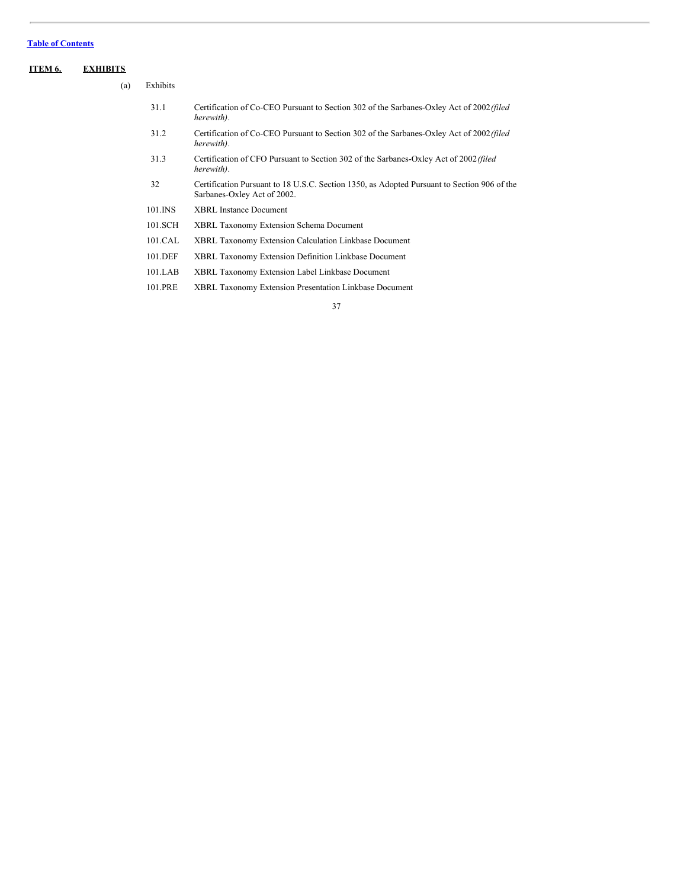<span id="page-37-0"></span>

| ITEM 6. | <b>EXHIBITS</b> |          |                                                                                                                            |
|---------|-----------------|----------|----------------------------------------------------------------------------------------------------------------------------|
|         | (a)             | Exhibits |                                                                                                                            |
|         |                 | 31.1     | Certification of Co-CEO Pursuant to Section 302 of the Sarbanes-Oxley Act of 2002 <i>(filed</i> )<br>herewith).            |
|         |                 | 31.2     | Certification of Co-CEO Pursuant to Section 302 of the Sarbanes-Oxley Act of 2002 <i>(filed</i> )<br>herewith).            |
|         |                 | 31.3     | Certification of CFO Pursuant to Section 302 of the Sarbanes-Oxley Act of 2002 (filed<br>herewith).                        |
|         |                 | 32       | Certification Pursuant to 18 U.S.C. Section 1350, as Adopted Pursuant to Section 906 of the<br>Sarbanes-Oxley Act of 2002. |
|         |                 | 101.INS  | <b>XBRL</b> Instance Document                                                                                              |
|         |                 | 101.SCH  | XBRL Taxonomy Extension Schema Document                                                                                    |
|         |                 | 101.CAL  | XBRL Taxonomy Extension Calculation Linkbase Document                                                                      |
|         |                 | 101.DEF  | XBRL Taxonomy Extension Definition Linkbase Document                                                                       |
|         |                 | 101.LAB  | XBRL Taxonomy Extension Label Linkbase Document                                                                            |
|         |                 | 101.PRE  | <b>XBRL Taxonomy Extension Presentation Linkbase Document</b>                                                              |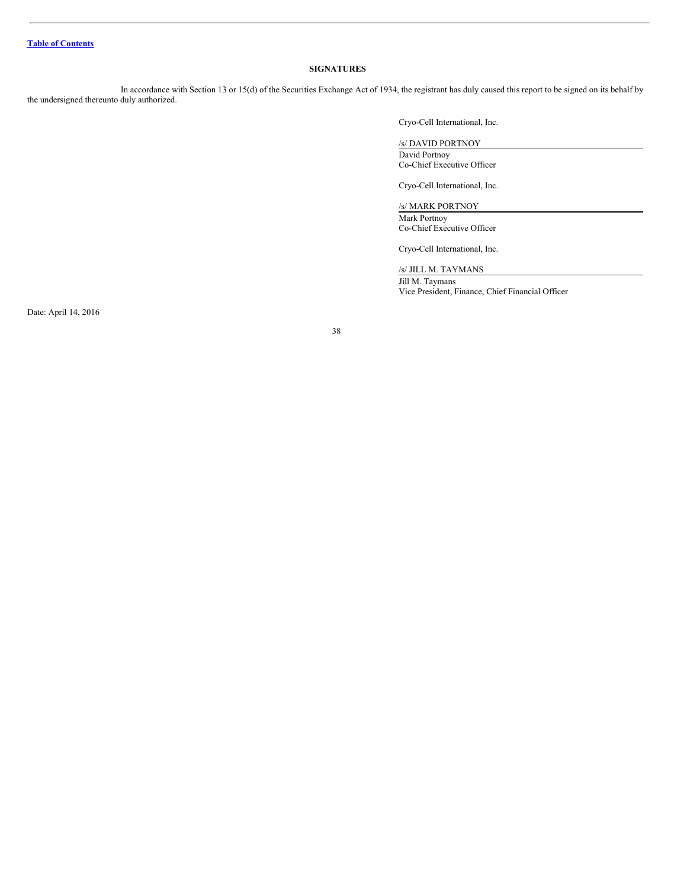#### <span id="page-38-0"></span>**SIGNATURES**

In accordance with Section 13 or 15(d) of the Securities Exchange Act of 1934, the registrant has duly caused this report to be signed on its behalf by the undersigned thereunto duly authorized.

Cryo-Cell International, Inc.

# /s/ DAVID PORTNOY

David Portnoy Co-Chief Executive Officer

Cryo-Cell International, Inc.

/s/ MARK PORTNOY

Mark Portnoy Co-Chief Executive Officer

Cryo-Cell International, Inc.

/s/ JILL M. TAYMANS

Jill M. Taymans Vice President, Finance, Chief Financial Officer

Date: April 14, 2016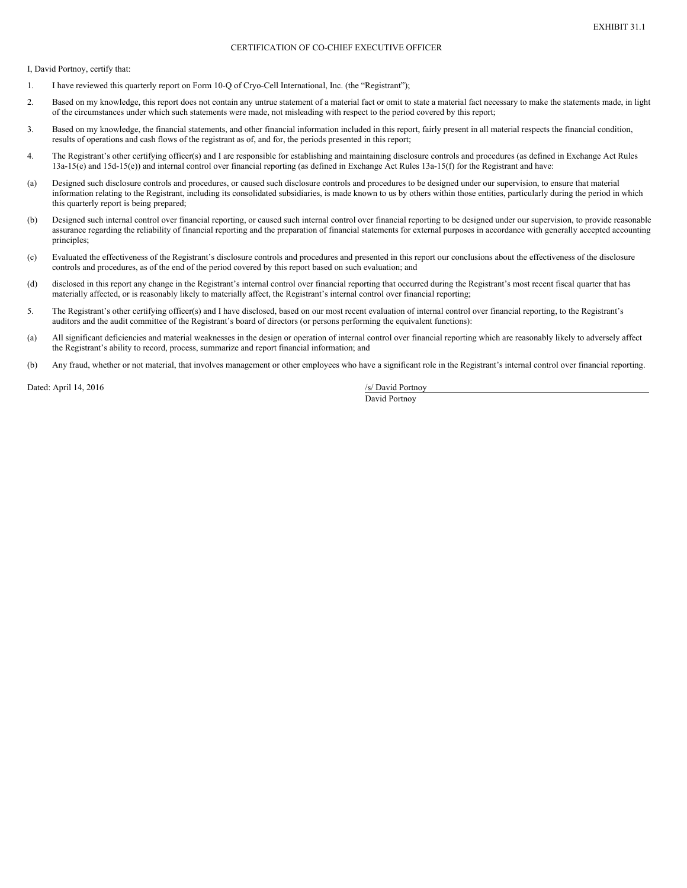#### CERTIFICATION OF CO-CHIEF EXECUTIVE OFFICER

I, David Portnoy, certify that:

- 1. I have reviewed this quarterly report on Form 10-Q of Cryo-Cell International, Inc. (the "Registrant");
- 2. Based on my knowledge, this report does not contain any untrue statement of a material fact or omit to state a material fact necessary to make the statements made, in light of the circumstances under which such statements were made, not misleading with respect to the period covered by this report;
- 3. Based on my knowledge, the financial statements, and other financial information included in this report, fairly present in all material respects the financial condition, results of operations and cash flows of the registrant as of, and for, the periods presented in this report;
- 4. The Registrant's other certifying officer(s) and I are responsible for establishing and maintaining disclosure controls and procedures (as defined in Exchange Act Rules 13a-15(e) and 15d-15(e)) and internal control over financial reporting (as defined in Exchange Act Rules 13a-15(f) for the Registrant and have:
- (a) Designed such disclosure controls and procedures, or caused such disclosure controls and procedures to be designed under our supervision, to ensure that material information relating to the Registrant, including its consolidated subsidiaries, is made known to us by others within those entities, particularly during the period in which this quarterly report is being prepared;
- (b) Designed such internal control over financial reporting, or caused such internal control over financial reporting to be designed under our supervision, to provide reasonable assurance regarding the reliability of financial reporting and the preparation of financial statements for external purposes in accordance with generally accepted accounting principles;
- (c) Evaluated the effectiveness of the Registrant's disclosure controls and procedures and presented in this report our conclusions about the effectiveness of the disclosure controls and procedures, as of the end of the period covered by this report based on such evaluation; and
- (d) disclosed in this report any change in the Registrant's internal control over financial reporting that occurred during the Registrant's most recent fiscal quarter that has materially affected, or is reasonably likely to materially affect, the Registrant's internal control over financial reporting;
- 5. The Registrant's other certifying officer(s) and I have disclosed, based on our most recent evaluation of internal control over financial reporting, to the Registrant's auditors and the audit committee of the Registrant's board of directors (or persons performing the equivalent functions):
- (a) All significant deficiencies and material weaknesses in the design or operation of internal control over financial reporting which are reasonably likely to adversely affect the Registrant's ability to record, process, summarize and report financial information; and
- (b) Any fraud, whether or not material, that involves management or other employees who have a significant role in the Registrant's internal control over financial reporting.

Dated: April 14, 2016 /s/ David Portnoy

David Portnoy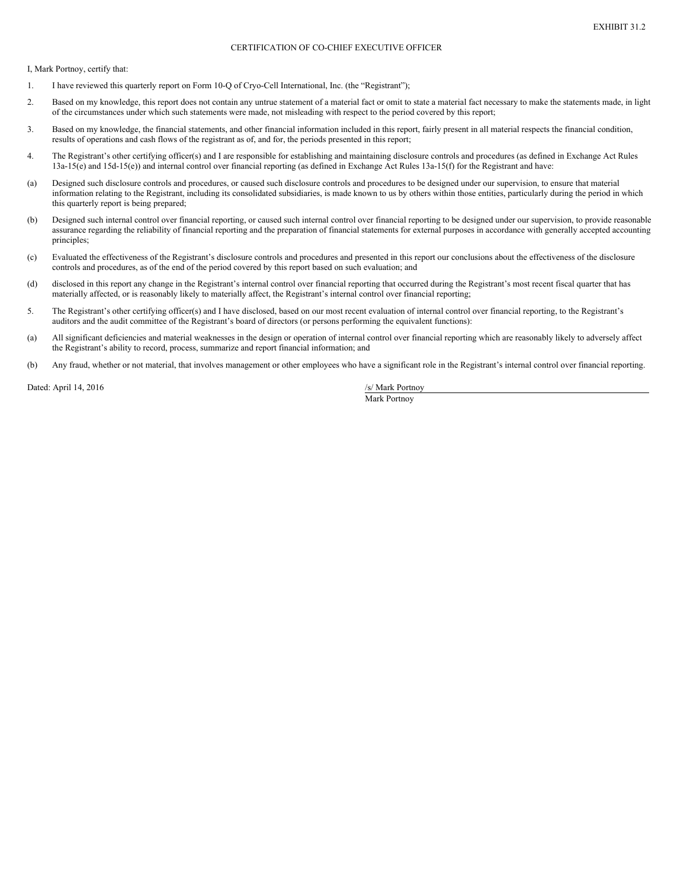#### CERTIFICATION OF CO-CHIEF EXECUTIVE OFFICER

I, Mark Portnoy, certify that:

- 1. I have reviewed this quarterly report on Form 10-Q of Cryo-Cell International, Inc. (the "Registrant");
- 2. Based on my knowledge, this report does not contain any untrue statement of a material fact or omit to state a material fact necessary to make the statements made, in light of the circumstances under which such statements were made, not misleading with respect to the period covered by this report;
- 3. Based on my knowledge, the financial statements, and other financial information included in this report, fairly present in all material respects the financial condition, results of operations and cash flows of the registrant as of, and for, the periods presented in this report;
- 4. The Registrant's other certifying officer(s) and I are responsible for establishing and maintaining disclosure controls and procedures (as defined in Exchange Act Rules 13a-15(e) and 15d-15(e)) and internal control over financial reporting (as defined in Exchange Act Rules 13a-15(f) for the Registrant and have:
- (a) Designed such disclosure controls and procedures, or caused such disclosure controls and procedures to be designed under our supervision, to ensure that material information relating to the Registrant, including its consolidated subsidiaries, is made known to us by others within those entities, particularly during the period in which this quarterly report is being prepared;
- (b) Designed such internal control over financial reporting, or caused such internal control over financial reporting to be designed under our supervision, to provide reasonable assurance regarding the reliability of financial reporting and the preparation of financial statements for external purposes in accordance with generally accepted accounting principles;
- (c) Evaluated the effectiveness of the Registrant's disclosure controls and procedures and presented in this report our conclusions about the effectiveness of the disclosure controls and procedures, as of the end of the period covered by this report based on such evaluation; and
- (d) disclosed in this report any change in the Registrant's internal control over financial reporting that occurred during the Registrant's most recent fiscal quarter that has materially affected, or is reasonably likely to materially affect, the Registrant's internal control over financial reporting;
- 5. The Registrant's other certifying officer(s) and I have disclosed, based on our most recent evaluation of internal control over financial reporting, to the Registrant's auditors and the audit committee of the Registrant's board of directors (or persons performing the equivalent functions):
- (a) All significant deficiencies and material weaknesses in the design or operation of internal control over financial reporting which are reasonably likely to adversely affect the Registrant's ability to record, process, summarize and report financial information; and
- (b) Any fraud, whether or not material, that involves management or other employees who have a significant role in the Registrant's internal control over financial reporting.

Dated: April 14, 2016 /s/ Mark Portnoy

Mark Portnoy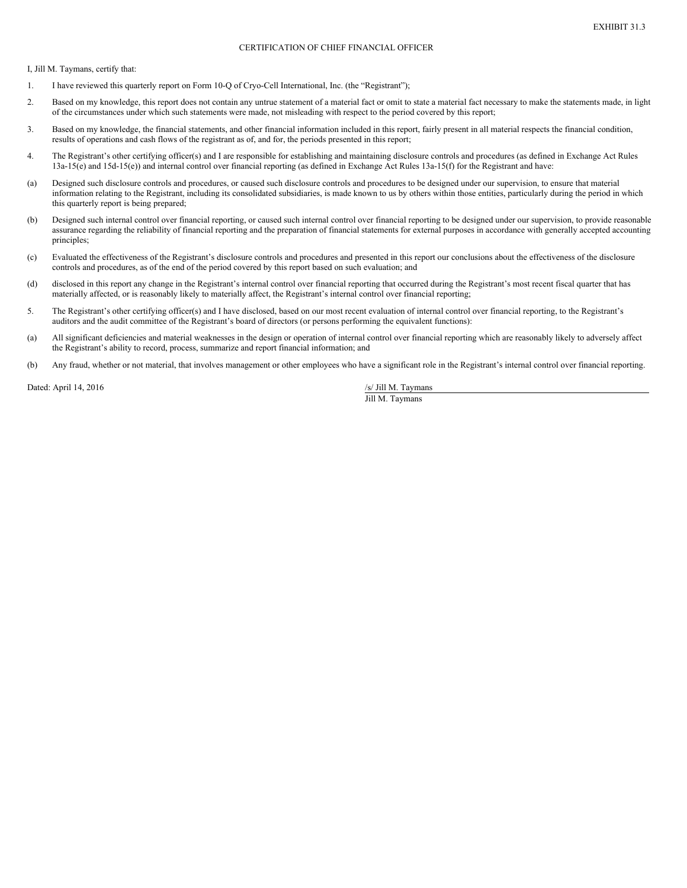#### CERTIFICATION OF CHIEF FINANCIAL OFFICER

I, Jill M. Taymans, certify that:

- 1. I have reviewed this quarterly report on Form 10-Q of Cryo-Cell International, Inc. (the "Registrant");
- 2. Based on my knowledge, this report does not contain any untrue statement of a material fact or omit to state a material fact necessary to make the statements made, in light of the circumstances under which such statements were made, not misleading with respect to the period covered by this report;
- 3. Based on my knowledge, the financial statements, and other financial information included in this report, fairly present in all material respects the financial condition, results of operations and cash flows of the registrant as of, and for, the periods presented in this report;
- 4. The Registrant's other certifying officer(s) and I are responsible for establishing and maintaining disclosure controls and procedures (as defined in Exchange Act Rules 13a-15(e) and 15d-15(e)) and internal control over financial reporting (as defined in Exchange Act Rules 13a-15(f) for the Registrant and have:
- (a) Designed such disclosure controls and procedures, or caused such disclosure controls and procedures to be designed under our supervision, to ensure that material information relating to the Registrant, including its consolidated subsidiaries, is made known to us by others within those entities, particularly during the period in which this quarterly report is being prepared;
- (b) Designed such internal control over financial reporting, or caused such internal control over financial reporting to be designed under our supervision, to provide reasonable assurance regarding the reliability of financial reporting and the preparation of financial statements for external purposes in accordance with generally accepted accounting principles;
- (c) Evaluated the effectiveness of the Registrant's disclosure controls and procedures and presented in this report our conclusions about the effectiveness of the disclosure controls and procedures, as of the end of the period covered by this report based on such evaluation; and
- (d) disclosed in this report any change in the Registrant's internal control over financial reporting that occurred during the Registrant's most recent fiscal quarter that has materially affected, or is reasonably likely to materially affect, the Registrant's internal control over financial reporting;
- 5. The Registrant's other certifying officer(s) and I have disclosed, based on our most recent evaluation of internal control over financial reporting, to the Registrant's auditors and the audit committee of the Registrant's board of directors (or persons performing the equivalent functions):
- (a) All significant deficiencies and material weaknesses in the design or operation of internal control over financial reporting which are reasonably likely to adversely affect the Registrant's ability to record, process, summarize and report financial information; and
- (b) Any fraud, whether or not material, that involves management or other employees who have a significant role in the Registrant's internal control over financial reporting.

Dated: April 14, 2016 /s/ Jill M. Taymans

Jill M. Taymans